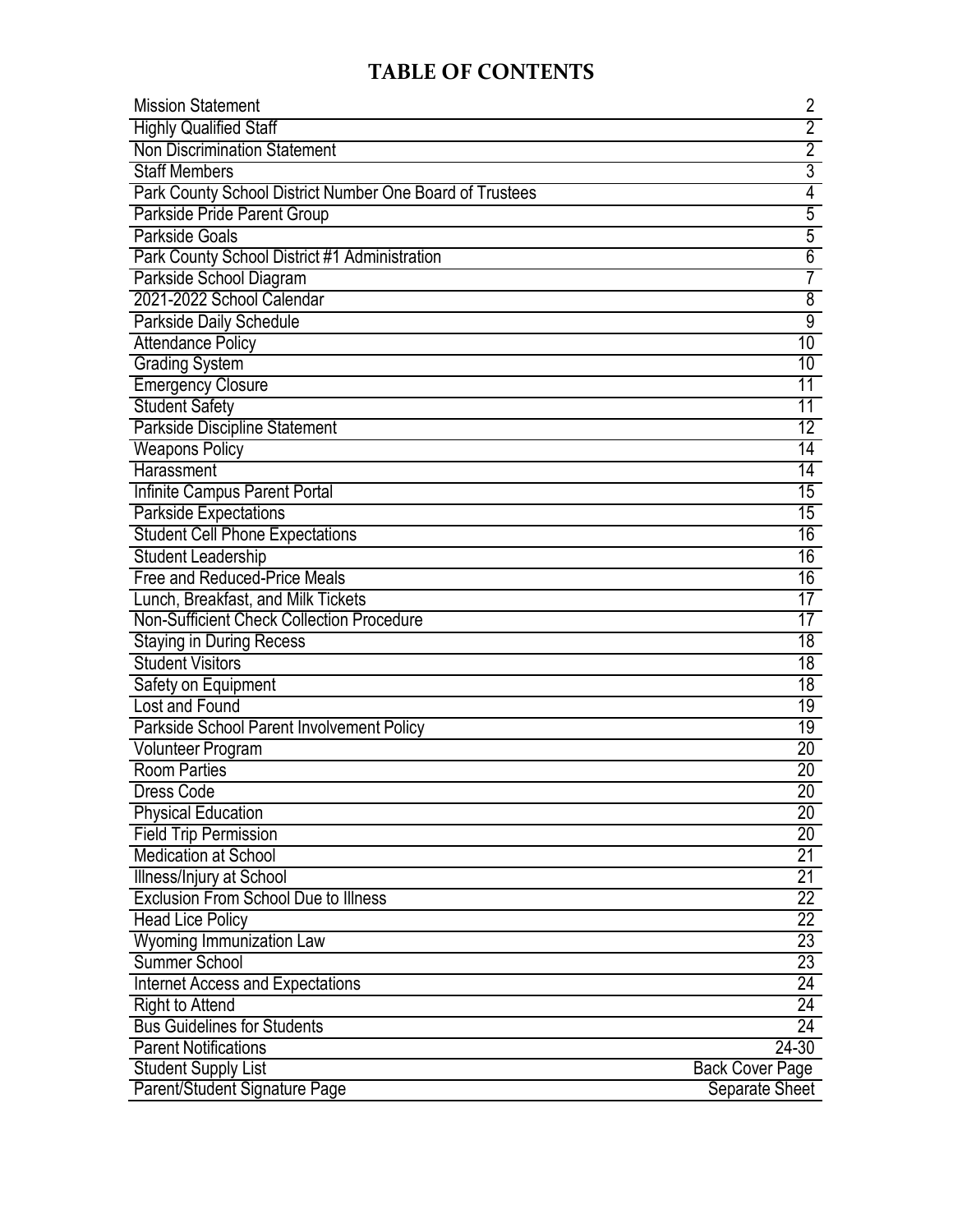# **TABLE OF CONTENTS**

| <b>Mission Statement</b>                                 | 2                      |
|----------------------------------------------------------|------------------------|
| <b>Highly Qualified Staff</b>                            | $\overline{2}$         |
| <b>Non Discrimination Statement</b>                      | $\overline{2}$         |
| <b>Staff Members</b>                                     | $\overline{3}$         |
| Park County School District Number One Board of Trustees | 4                      |
| Parkside Pride Parent Group                              | $\overline{5}$         |
| <b>Parkside Goals</b>                                    | $\overline{5}$         |
| Park County School District #1 Administration            | $\overline{6}$         |
| Parkside School Diagram                                  | 7                      |
| 2021-2022 School Calendar                                | 8                      |
| Parkside Daily Schedule                                  | 9                      |
| <b>Attendance Policy</b>                                 | 10                     |
| <b>Grading System</b>                                    | 10                     |
| <b>Emergency Closure</b>                                 | 11                     |
| <b>Student Safety</b>                                    | 11                     |
| <b>Parkside Discipline Statement</b>                     | $\overline{12}$        |
| <b>Weapons Policy</b>                                    | $\overline{14}$        |
| Harassment                                               | $\overline{14}$        |
| Infinite Campus Parent Portal                            | 15                     |
| <b>Parkside Expectations</b>                             | $\overline{15}$        |
| <b>Student Cell Phone Expectations</b>                   | 16                     |
| <b>Student Leadership</b>                                | 16                     |
| Free and Reduced-Price Meals                             | 16                     |
| Lunch, Breakfast, and Milk Tickets                       | $\overline{17}$        |
| Non-Sufficient Check Collection Procedure                | 17                     |
| <b>Staying in During Recess</b>                          | $\overline{18}$        |
| <b>Student Visitors</b>                                  | 18                     |
| Safety on Equipment                                      | 18                     |
| Lost and Found                                           | 19                     |
| Parkside School Parent Involvement Policy                | $\overline{19}$        |
| <b>Volunteer Program</b>                                 | $20\,$                 |
| <b>Room Parties</b>                                      | $\overline{20}$        |
| <b>Dress Code</b>                                        | $20\,$                 |
| <b>Physical Education</b>                                | 20                     |
| <b>Field Trip Permission</b>                             | 20                     |
| <b>Medication at School</b>                              | $\overline{21}$        |
| Illness/Injury at School                                 | 21                     |
| <b>Exclusion From School Due to Illness</b>              | $\overline{22}$        |
| <b>Head Lice Policy</b>                                  | $22\,$                 |
| <b>Wyoming Immunization Law</b>                          | $\overline{23}$        |
| <b>Summer School</b>                                     | 23                     |
| <b>Internet Access and Expectations</b>                  | $\overline{24}$        |
| <b>Right to Attend</b>                                   | 24                     |
| <b>Bus Guidelines for Students</b>                       | 24                     |
| <b>Parent Notifications</b>                              | $24 - 30$              |
| <b>Student Supply List</b>                               | <b>Back Cover Page</b> |
| Parent/Student Signature Page                            | Separate Sheet         |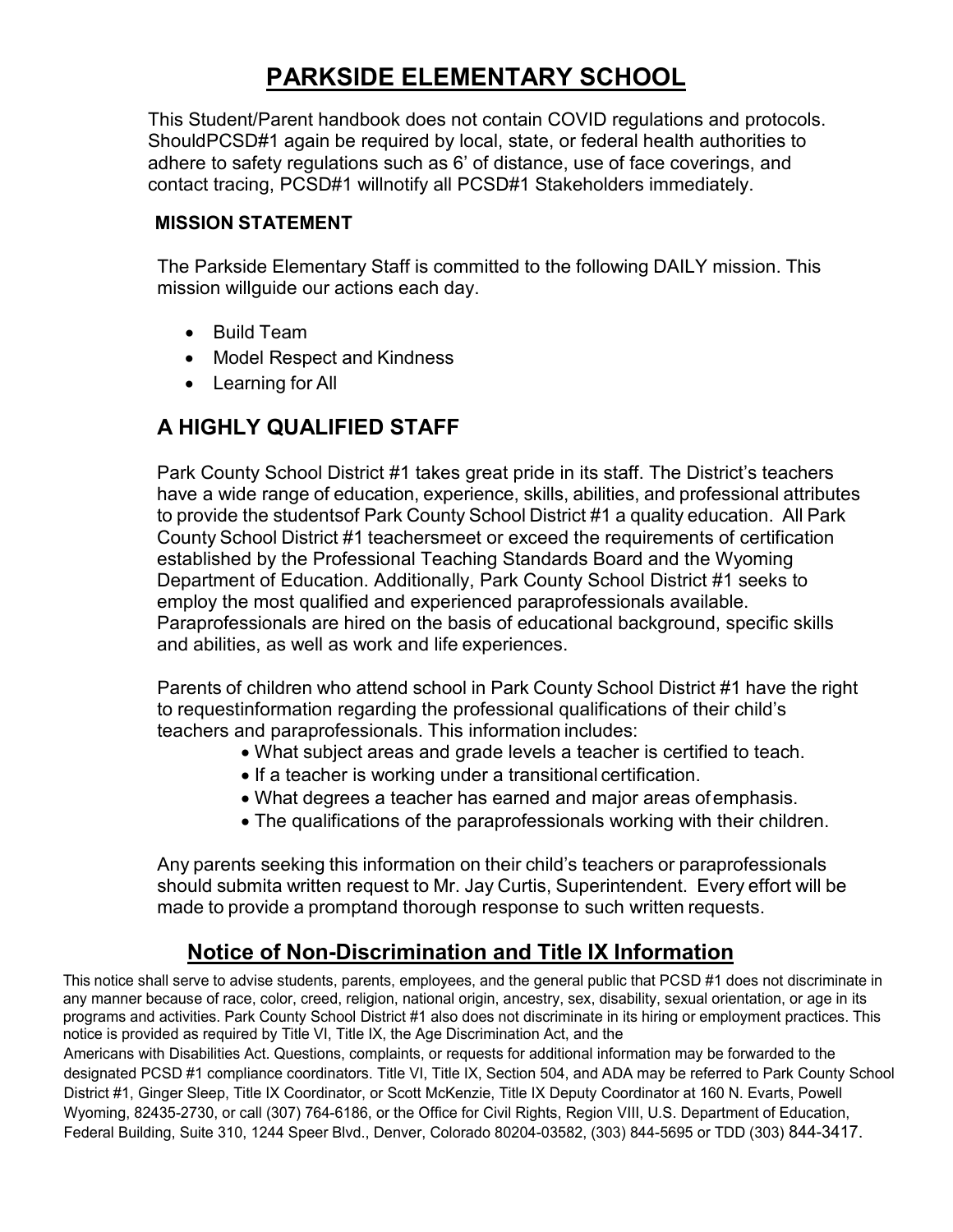# **PARKSIDE ELEMENTARY SCHOOL**

This Student/Parent handbook does not contain COVID regulations and protocols. ShouldPCSD#1 again be required by local, state, or federal health authorities to adhere to safety regulations such as 6' of distance, use of face coverings, and contact tracing, PCSD#1 willnotify all PCSD#1 Stakeholders immediately.

### **MISSION STATEMENT**

The Parkside Elementary Staff is committed to the following DAILY mission. This mission willguide our actions each day.

- Build Team
- Model Respect and Kindness
- Learning for All

## **A HIGHLY QUALIFIED STAFF**

Park County School District #1 takes great pride in its staff. The District's teachers have a wide range of education, experience, skills, abilities, and professional attributes to provide the studentsof Park County School District #1 a quality education. All Park County School District #1 teachersmeet or exceed the requirements of certification established by the Professional Teaching Standards Board and the Wyoming Department of Education. Additionally, Park County School District #1 seeks to employ the most qualified and experienced paraprofessionals available. Paraprofessionals are hired on the basis of educational background, specific skills and abilities, as well as work and life experiences.

Parents of children who attend school in Park County School District #1 have the right to requestinformation regarding the professional qualifications of their child's teachers and paraprofessionals. This information includes:

- What subject areas and grade levels a teacher is certified to teach.
- If a teacher is working under a transitional certification.
- What degrees a teacher has earned and major areas ofemphasis.
- The qualifications of the paraprofessionals working with their children.

Any parents seeking this information on their child's teachers or paraprofessionals should submita written request to Mr. Jay Curtis, Superintendent. Every effort will be made to provide a promptand thorough response to such written requests.

# **Notice of Non-Discrimination and Title IX Information**

This notice shall serve to advise students, parents, employees, and the general public that PCSD #1 does not discriminate in any manner because of race, color, creed, religion, national origin, ancestry, sex, disability, sexual orientation, or age in its programs and activities. Park County School District #1 also does not discriminate in its hiring or employment practices. This notice is provided as required by Title VI, Title IX, the Age Discrimination Act, and the

Americans with Disabilities Act. Questions, complaints, or requests for additional information may be forwarded to the designated PCSD #1 compliance coordinators. Title VI, Title IX, Section 504, and ADA may be referred to Park County School District #1, Ginger Sleep, Title IX Coordinator, or Scott McKenzie, Title IX Deputy Coordinator at 160 N. Evarts, Powell Wyoming, 82435-2730, or call (307) 764-6186, or the Office for Civil Rights, Region VIII, U.S. Department of Education, Federal Building, Suite 310, 1244 Speer Blvd., Denver, Colorado 80204-03582, (303) 844-5695 or TDD (303) 844-3417.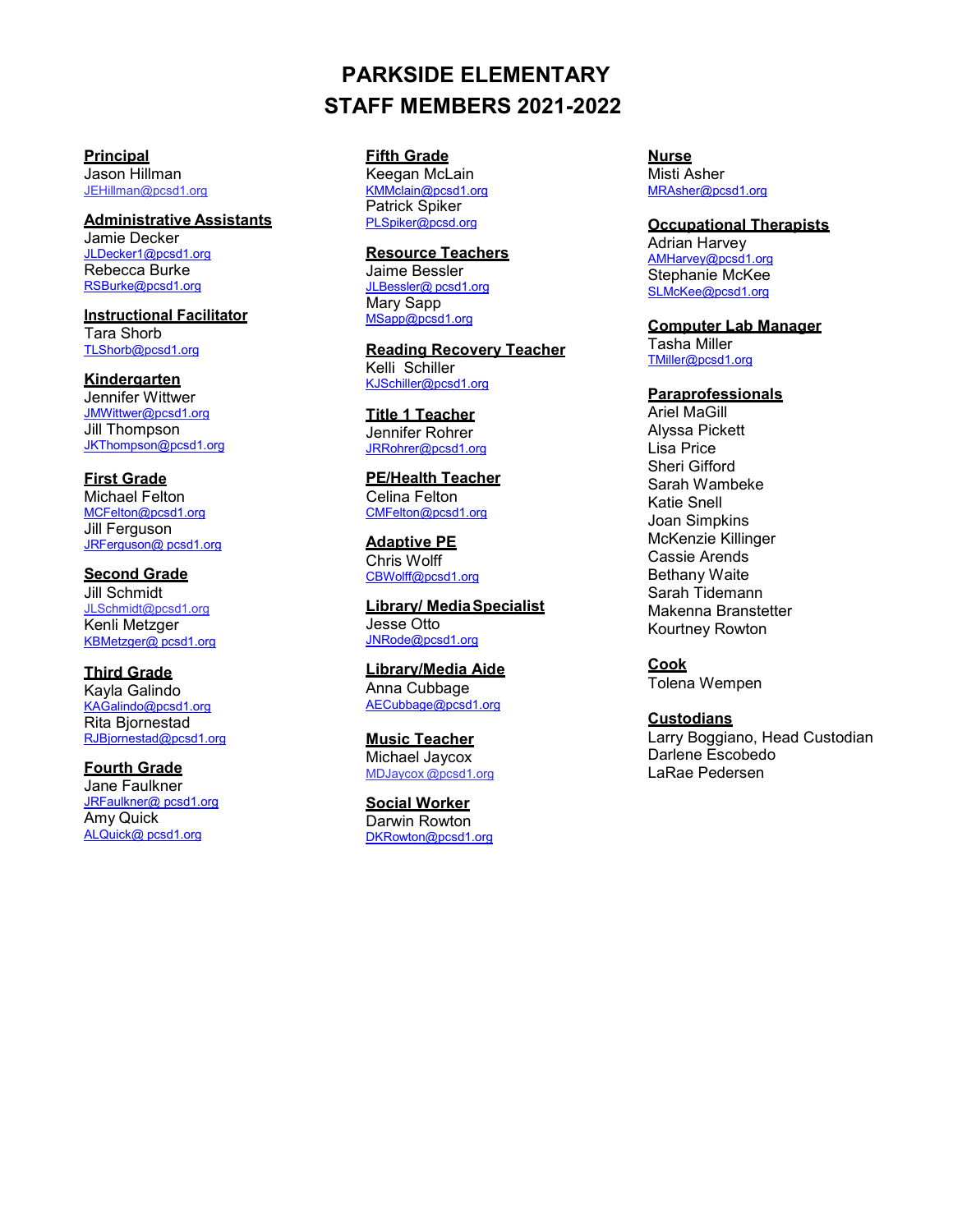# **PARKSIDE ELEMENTARY STAFF MEMBERS 2021-2022**

**Principal** Jason Hillman [JEHillman@pcsd1.org](mailto:JEHillman@pcsd1.org)

**Administrative Assistants** Jamie Decker [JLDecker1@pcsd1.org](mailto:JLDecker1@pcsd1.org) Rebecca Burke [RSBurke@pcsd1.org](mailto:RSBurke@pcsd1.org)

**Instructional Facilitator** Tara Shorb [TLShorb@pcsd1.org](mailto:TLShorb@pcsd1.org)

**Kindergarten** Jennifer Wittwer [JMWittwer@pcsd1.org](mailto:JMWittwer@pcsd1.org) Jill Thompson [JKThompson@pcsd1.org](mailto:JKThompson@pcsd1.org)

**First Grade** Michael Felton [MCFelton@pcsd1.org](mailto:MCFelton@pcsd1.org) Jill Ferguson JRFerguson@ [pcsd1.org](mailto:jrferguson@pcsd1.org)

**Second Grade** Jill Schmidt [JLSchmidt@pcsd1.org](mailto:JLSchmidt@pcsd1.org) Kenli Metzger KBMetzger@ [pcsd1.org](mailto:kbmetzger@pcsd1.org)

**Third Grade** Kayla Galindo [KAGalindo@pcsd1.org](mailto:KAGalindo@pcsd1.org) Rita Bjornestad [RJBjornestad@pcsd1.org](mailto:RJBjornestad@pcsd1.org)

**Fourth Grade** Jane Faulkner [JRFaulkner@ pcsd1.org](mailto:jrfaulkner@pcsd1.org) Amy Quick [ALQuick@](mailto:alquick@pcsd1.org) pcsd1.org

**Fifth Grade**

Keegan McLain [KMMclain@pcsd1.org](mailto:KMMclain@pcsd1.org) Patrick Spiker PLSpik[er@pcsd.org](mailto:PLSpiker@pcsd.org)

**Resource Teachers** Jaime Bessler JLBessler@ [pcsd1.org](mailto:jlbessler@pcsd1.org) Mary Sapp MSap[p@pcsd1.org](mailto:msapp@pcsd1.org)

**Reading Recovery Teacher** Kelli Schiller [KJSchiller@pcsd1.org](mailto:KJSchiller@pcsd1.org)

**Title 1 Teacher** Jennifer Rohrer [JRRohrer@pcsd1.org](mailto:JRRohrer@pcsd1.org)

**PE/Health Teacher** Celina Felton [CMFelton@pcsd1.org](mailto:CMFelton@pcsd1.org)

**Adaptive PE** Chris Wolff [CBWolff@pcsd1.org](mailto:CBWolff@pcsd1.org)

**Library/ MediaSpecialist** Jesse Otto JNRod[e@pcsd1.org](mailto:jnrode@pcsd1.org)

**Library/Media Aide** Anna Cubbage [AECubbage@pcsd1.org](mailto:AECubbage@pcsd1.org)

**Music Teacher** Michael Jaycox MDJaycox [@pcsd1.org](mailto:MDJaycox@pcsd1.org)

**Social Worker** Darwin Rowton [DKRowton@pcsd1.org](mailto:DKRowton@pcsd1.org) **Nurse** Misti Asher [MRAsher@pcsd1.org](mailto:MRAsher@pcsd1.org)

**Occupational Therapists** Adrian Harvey [AMHarvey@pcsd1.org](mailto:AMHarvey@pcsd1.org) Stephanie McKee [SLMcKee@pcsd1.org](mailto:SLMcKee@pcsd1.org)

**Computer Lab Manager**

Tasha Miller [TMiller@pcsd1.org](mailto:TMiller@pcsd1.org)

#### **Paraprofessionals**

Ariel MaGill Alyssa Pickett Lisa Price Sheri Gifford Sarah Wambeke Katie Snell Joan Simpkins McKenzie Killinger Cassie Arends Bethany Waite Sarah Tidemann Makenna Branstetter Kourtney Rowton

**Cook** Tolena Wempen

**Custodians** Larry Boggiano, Head Custodian Darlene Escobedo LaRae Pedersen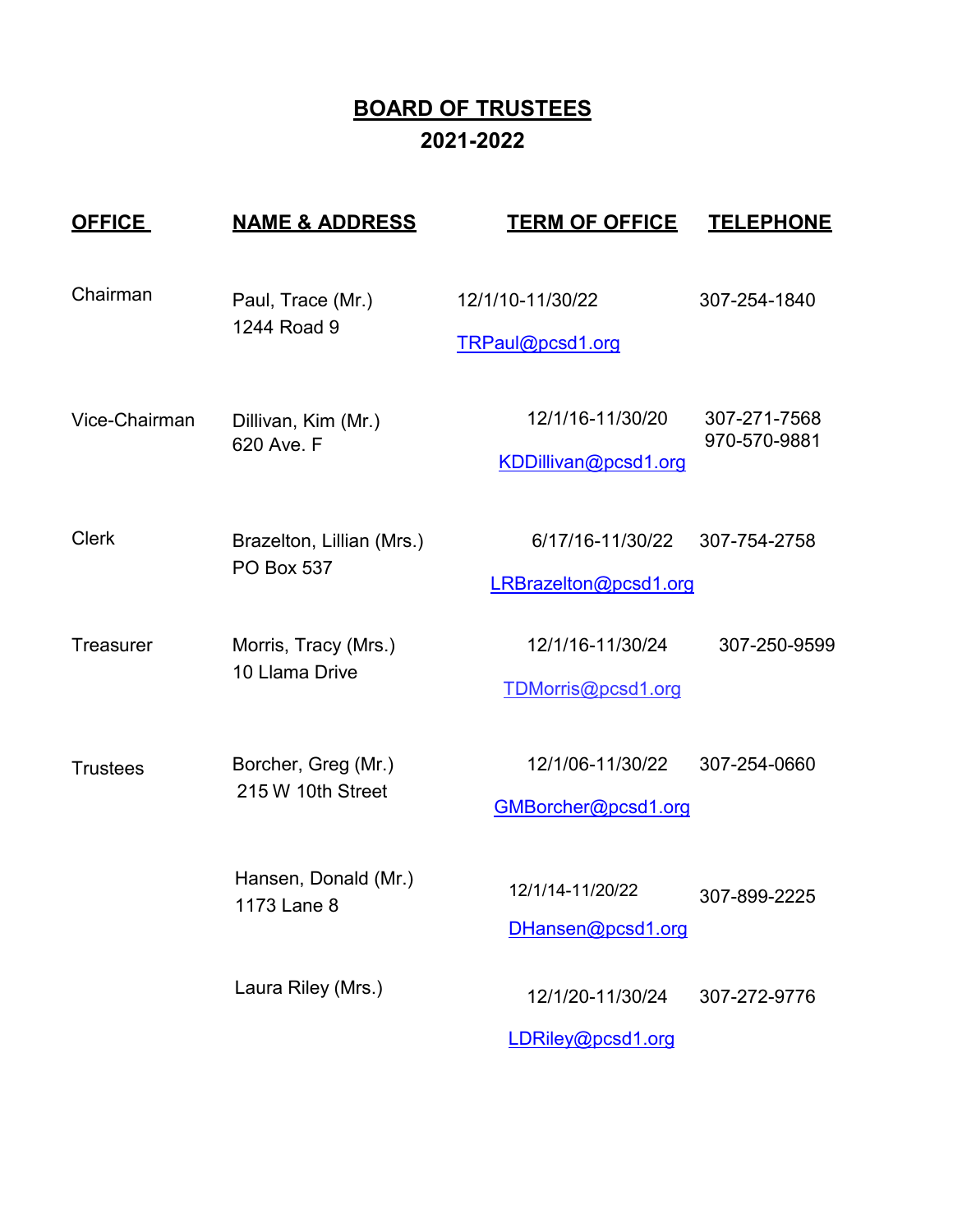# **BOARD OF TRUSTEES 2021-2022**

| <b>OFFICE</b>    | <u>NAME &amp; ADDRESS</u>                      | <b>TERM OF OFFICE</b>                     | <b>TELEPHONE</b>             |
|------------------|------------------------------------------------|-------------------------------------------|------------------------------|
| Chairman         | Paul, Trace (Mr.)<br>1244 Road 9               | 12/1/10-11/30/22<br>TRPaul@pcsd1.org      | 307-254-1840                 |
| Vice-Chairman    | Dillivan, Kim (Mr.)<br>620 Ave. F              | 12/1/16-11/30/20<br>KDDillivan@pcsd1.org  | 307-271-7568<br>970-570-9881 |
| <b>Clerk</b>     | Brazelton, Lillian (Mrs.)<br><b>PO Box 537</b> | 6/17/16-11/30/22<br>LRBrazelton@pcsd1.org | 307-754-2758                 |
| <b>Treasurer</b> | Morris, Tracy (Mrs.)<br>10 Llama Drive         | 12/1/16-11/30/24<br>TDMorris@pcsd1.org    | 307-250-9599                 |
| <b>Trustees</b>  | Borcher, Greg (Mr.)<br>215 W 10th Street       | 12/1/06-11/30/22<br>GMBorcher@pcsd1.org   | 307-254-0660                 |
|                  | Hansen, Donald (Mr.)<br>1173 Lane 8            | 12/1/14-11/20/22<br>DHansen@pcsd1.org     | 307-899-2225                 |
|                  | Laura Riley (Mrs.)                             | 12/1/20-11/30/24<br>LDRiley@pcsd1.org     | 307-272-9776                 |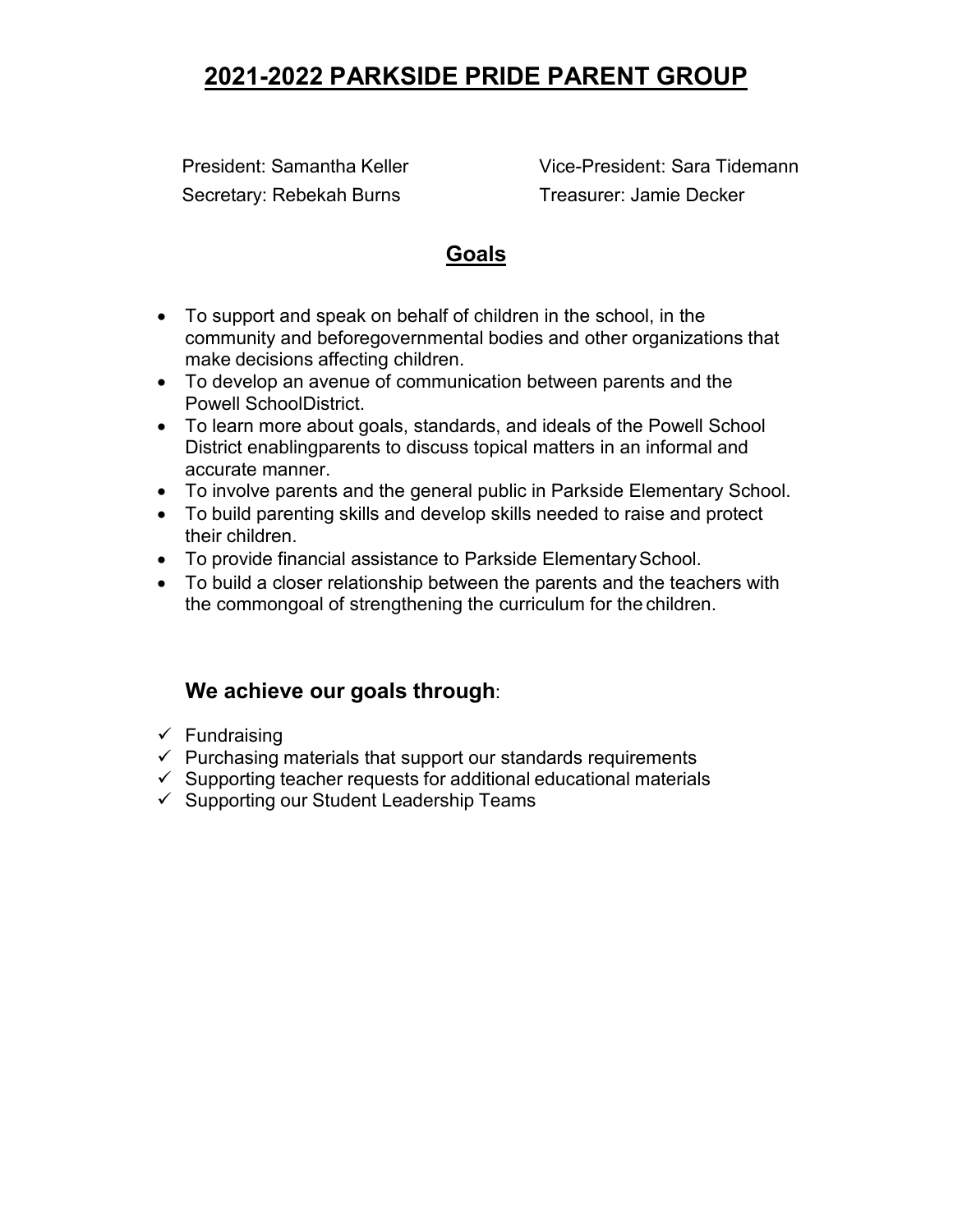# **2021-2022 PARKSIDE PRIDE PARENT GROUP**

Secretary: Rebekah Burns Treasurer: Jamie Decker

President: Samantha Keller Vice-President: Sara Tidemann

## **Goals**

- To support and speak on behalf of children in the school, in the community and beforegovernmental bodies and other organizations that make decisions affecting children.
- To develop an avenue of communication between parents and the Powell SchoolDistrict.
- To learn more about goals, standards, and ideals of the Powell School District enablingparents to discuss topical matters in an informal and accurate manner.
- To involve parents and the general public in Parkside Elementary School.
- To build parenting skills and develop skills needed to raise and protect their children.
- To provide financial assistance to Parkside Elementary School.
- To build a closer relationship between the parents and the teachers with the commongoal of strengthening the curriculum for the children.

# **We achieve our goals through**:

- $\checkmark$  Fundraising
- $\checkmark$  Purchasing materials that support our standards requirements
- $\checkmark$  Supporting teacher requests for additional educational materials
- $\checkmark$  Supporting our Student Leadership Teams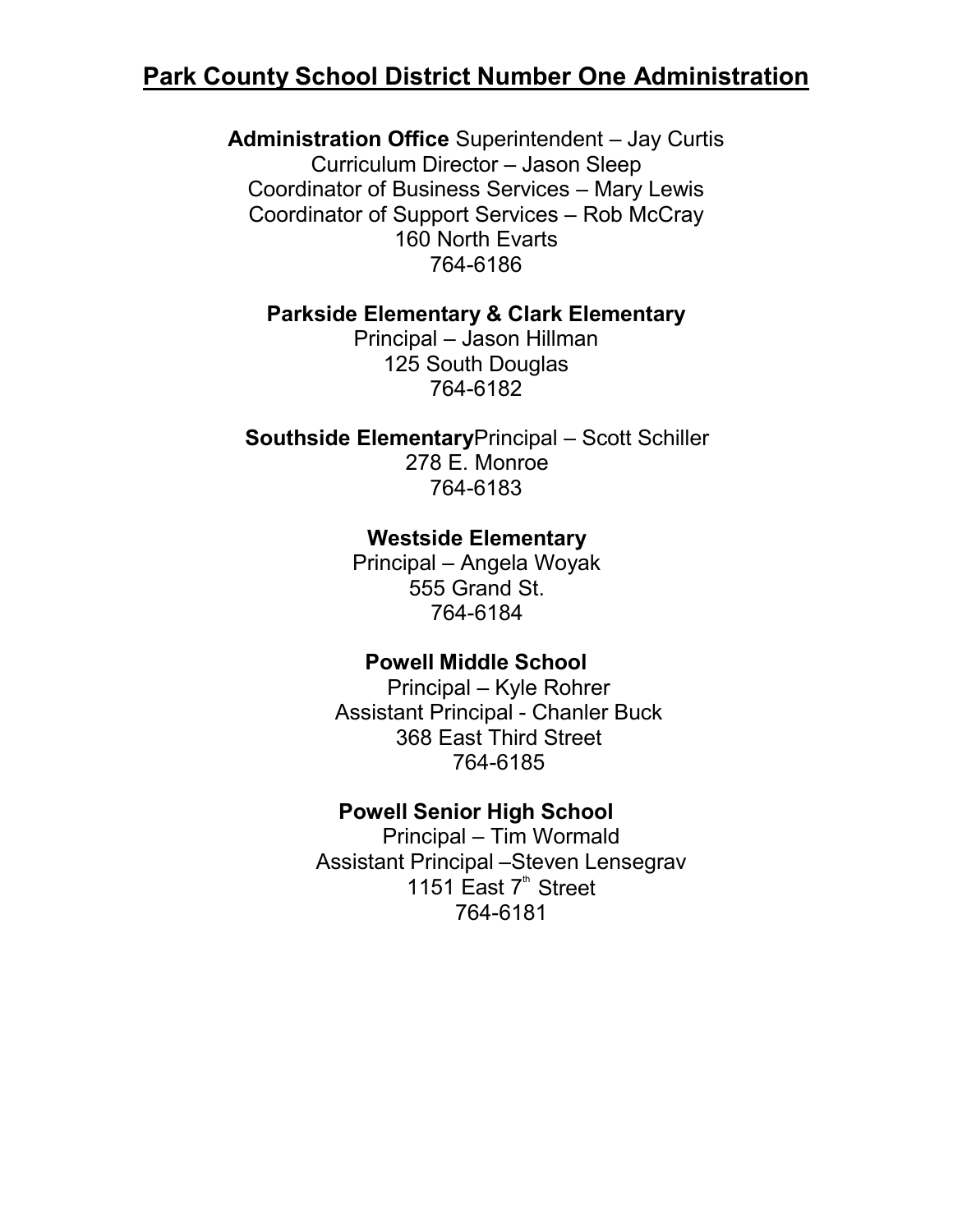# **Park County School District Number One Administration**

**Administration Office** Superintendent – Jay Curtis Curriculum Director – Jason Sleep Coordinator of Business Services – Mary Lewis Coordinator of Support Services – Rob McCray 160 North Evarts 764-6186

### **Parkside Elementary & Clark Elementary**

Principal – Jason Hillman 125 South Douglas 764-6182

**Southside Elementary**Principal – Scott Schiller 278 E. Monroe 764-6183

## **Westside Elementary**

Principal – Angela Woyak 555 Grand St. 764-6184

## **Powell Middle School**

Principal – Kyle Rohrer Assistant Principal - Chanler Buck 368 East Third Street 764-6185

### **Powell Senior High School**

Principal – Tim Wormald Assistant Principal –Steven Lensegrav 1151 East  $7<sup>th</sup>$  Street 764-6181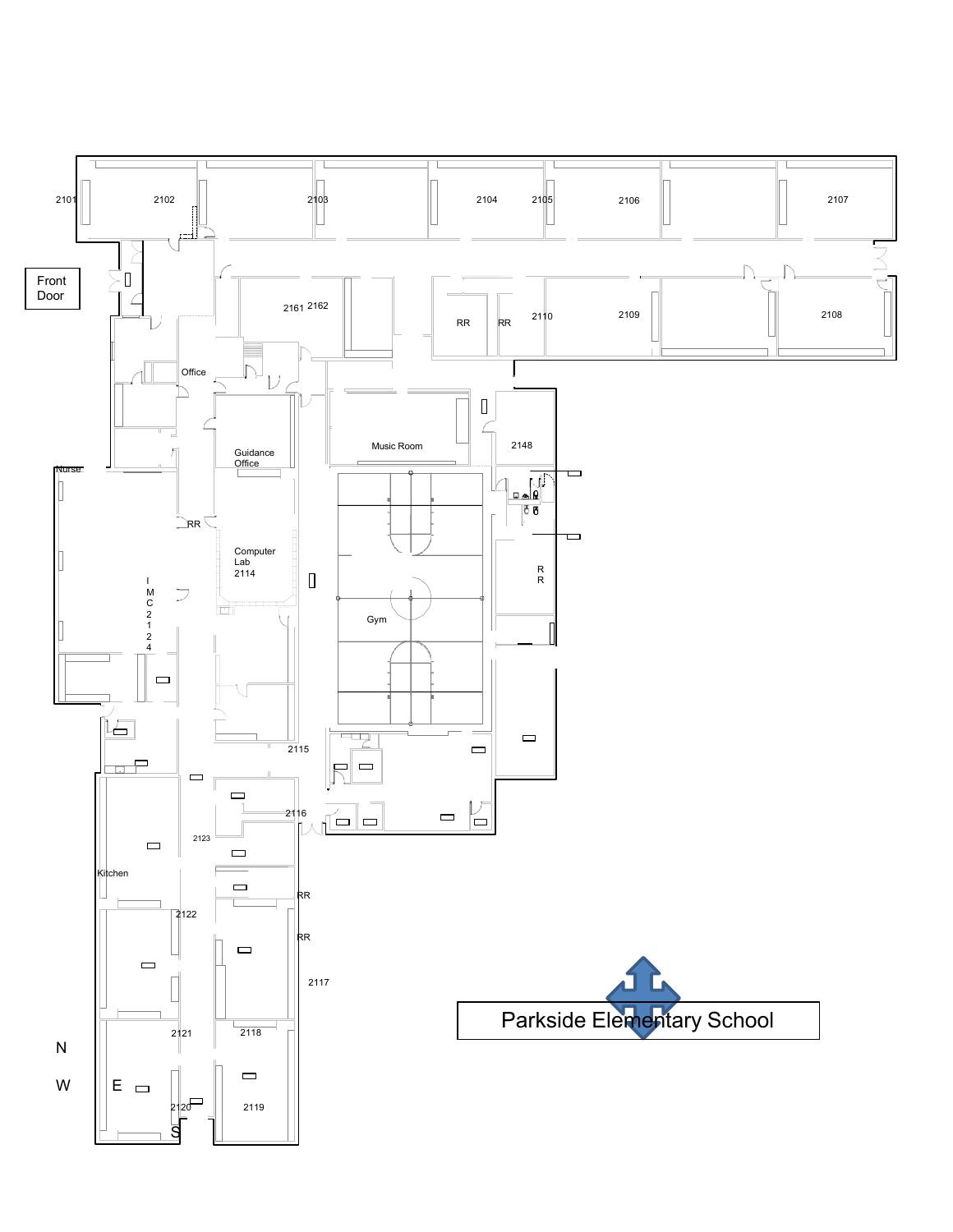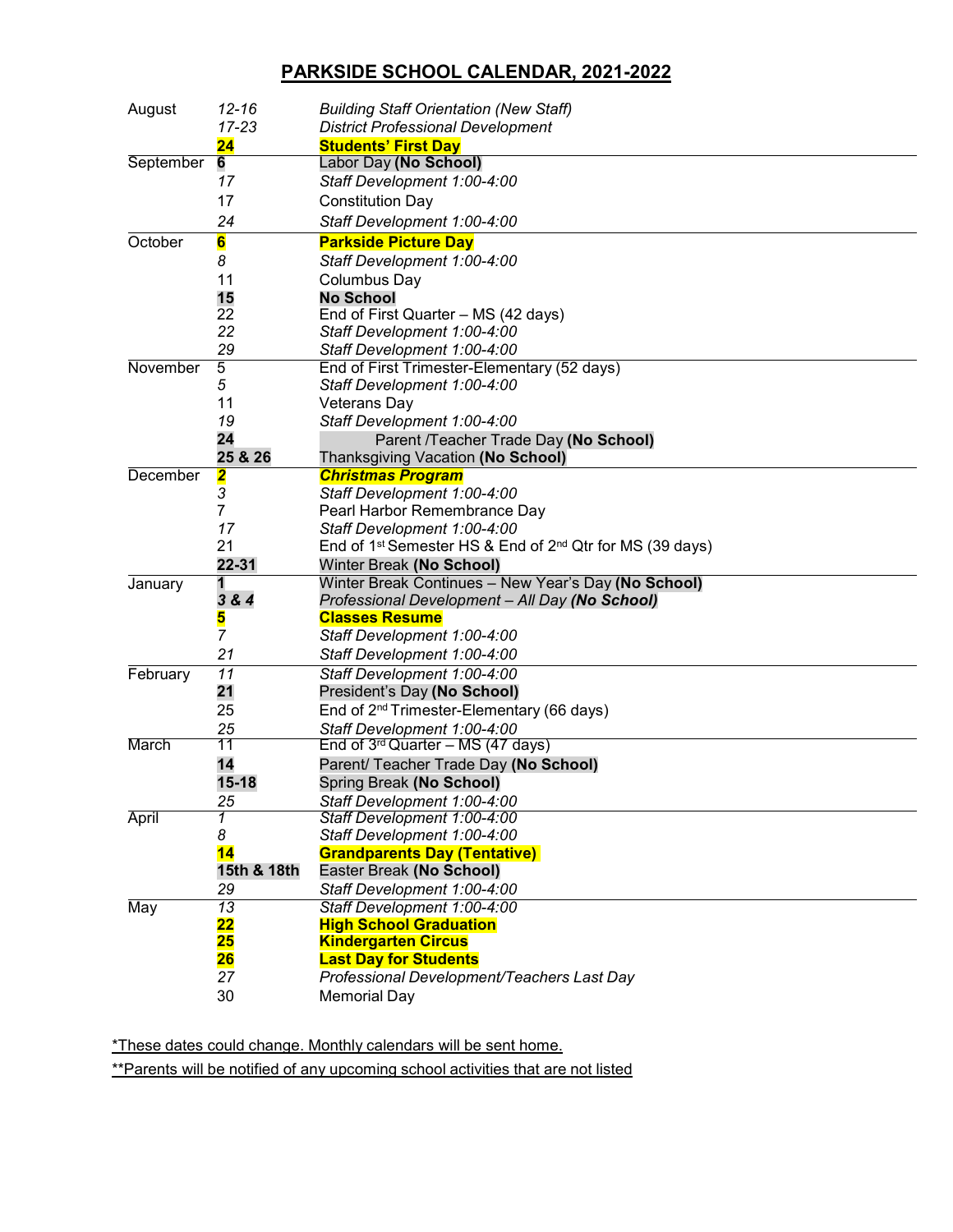### **PARKSIDE SCHOOL CALENDAR, 2021-2022**

| August       | $12 - 16$<br>$17 - 23$   | <b>Building Staff Orientation (New Staff)</b><br><b>District Professional Development</b>                |
|--------------|--------------------------|----------------------------------------------------------------------------------------------------------|
|              | 24                       | <b>Students' First Day</b>                                                                               |
| September    | 6                        | Labor Day (No School)                                                                                    |
|              | 17                       | Staff Development 1:00-4:00                                                                              |
|              | 17                       | <b>Constitution Day</b>                                                                                  |
|              | 24                       | Staff Development 1:00-4:00                                                                              |
| October      | 6                        | <b>Parkside Picture Day</b>                                                                              |
|              | 8                        | Staff Development 1:00-4:00                                                                              |
|              | 11                       | Columbus Day                                                                                             |
|              | 15                       | <b>No School</b>                                                                                         |
|              | 22                       | End of First Quarter - MS (42 days)                                                                      |
|              | 22                       | Staff Development 1:00-4:00                                                                              |
|              | 29                       | Staff Development 1:00-4:00                                                                              |
| November     | 5                        | End of First Trimester-Elementary (52 days)                                                              |
|              | 5                        | Staff Development 1:00-4:00                                                                              |
|              | 11                       | <b>Veterans Day</b>                                                                                      |
|              | 19                       | Staff Development 1:00-4:00                                                                              |
|              | 24                       | Parent /Teacher Trade Day (No School)                                                                    |
|              | 25 & 26                  | Thanksgiving Vacation (No School)                                                                        |
| December     | 2                        | <b>Christmas Program</b>                                                                                 |
|              | 3                        | Staff Development 1:00-4:00                                                                              |
|              | 7                        | Pearl Harbor Remembrance Day                                                                             |
|              | 17<br>21                 | Staff Development 1:00-4:00<br>End of 1 <sup>st</sup> Semester HS & End of $2^{nd}$ Qtr for MS (39 days) |
|              | 22-31                    | Winter Break (No School)                                                                                 |
| January      | 1                        | Winter Break Continues - New Year's Day (No School)                                                      |
|              | 3 & 4                    | Professional Development - All Day (No School)                                                           |
|              | 5                        | <b>Classes Resume</b>                                                                                    |
|              | $\overline{7}$           | Staff Development 1:00-4:00                                                                              |
|              | 21                       | Staff Development 1:00-4:00                                                                              |
| February     | $\overline{11}$          | Staff Development 1:00-4:00                                                                              |
|              | 21                       | President's Day (No School)                                                                              |
|              | 25                       | End of 2 <sup>nd</sup> Trimester-Elementary (66 days)                                                    |
|              | 25                       | Staff Development 1:00-4:00                                                                              |
| March        | 11                       | End of $3^{rd}$ Quarter – MS (47 days)                                                                   |
|              | 14                       | Parent/ Teacher Trade Day (No School)                                                                    |
|              | $15 - 18$                | Spring Break (No School)                                                                                 |
|              | 25                       | Staff Development 1:00-4:00                                                                              |
| <b>April</b> | 1                        | Staff Development 1:00-4:00                                                                              |
|              | 8                        | Staff Development 1:00-4:00                                                                              |
|              | 14                       | <b>Grandparents Day (Tentative)</b>                                                                      |
|              | 15th & 18th              | Easter Break (No School)                                                                                 |
|              | 29                       | Staff Development 1:00-4:00                                                                              |
| May          | 13                       | Staff Development 1:00-4:00                                                                              |
|              | $\overline{\mathbf{22}}$ | <b>High School Graduation</b>                                                                            |
|              | 25<br>26                 | <b>Kindergarten Circus</b>                                                                               |
|              | 27                       | <b>Last Day for Students</b><br>Professional Development/Teachers Last Day                               |
|              | 30                       | <b>Memorial Day</b>                                                                                      |
|              |                          |                                                                                                          |

\*These dates could change. Monthly calendars will be sent home.

\*\*Parents will be notified of any upcoming school activities that are not listed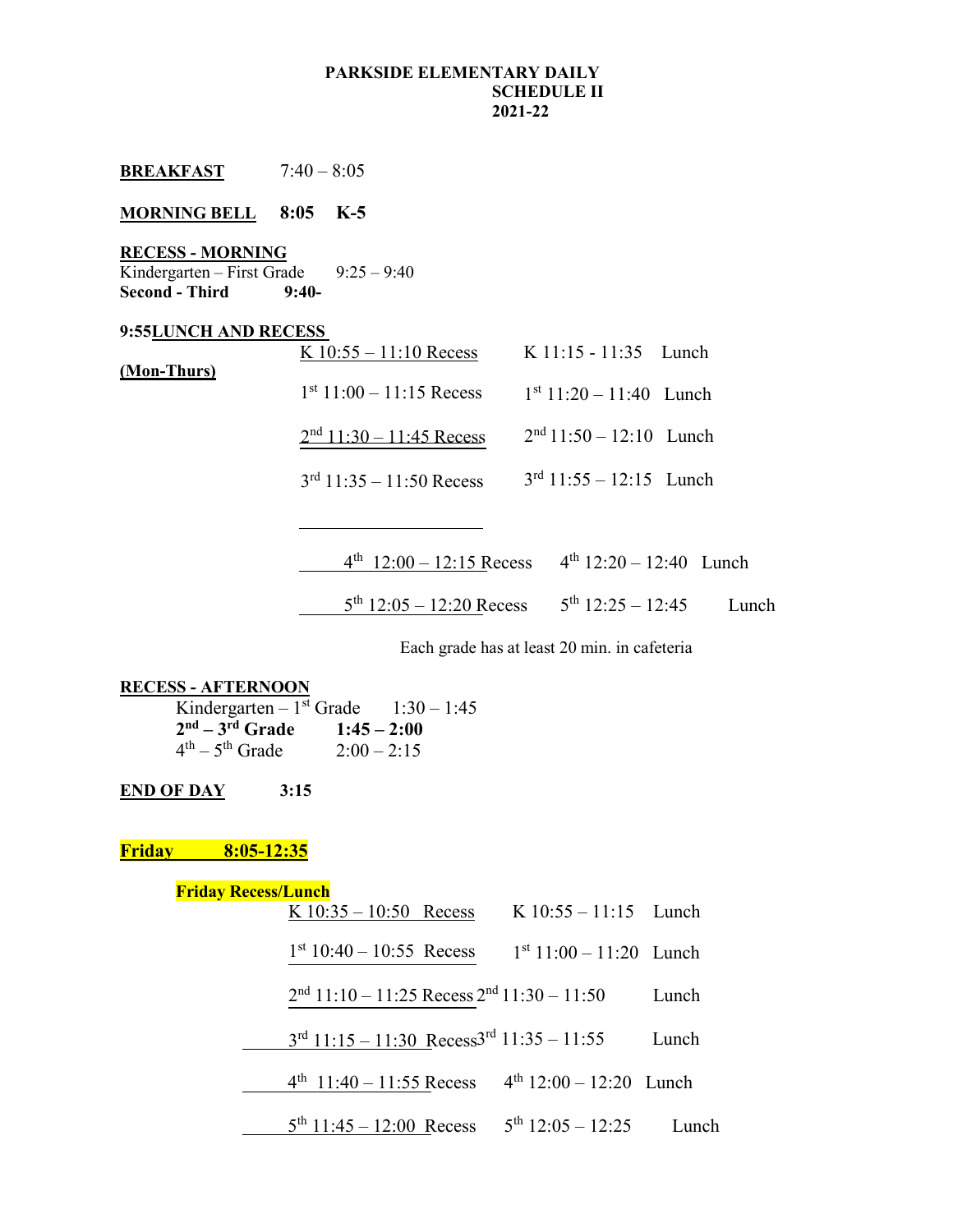#### **PARKSIDE ELEMENTARY DAILY SCHEDULE II 2021-22**

| MORNING BELL 8:05 K-5                                                                 |                                                  |                                                      |
|---------------------------------------------------------------------------------------|--------------------------------------------------|------------------------------------------------------|
| <b>RECESS - MORNING</b><br>Kindergarten – First Grade $9:25 - 9:40$<br>Second - Third | $9:40-$                                          |                                                      |
| 9:55LUNCH AND RECESS                                                                  |                                                  |                                                      |
|                                                                                       | K $10:55 - 11:10$ Recess K $11:15 - 11:35$ Lunch |                                                      |
| (Mon-Thurs)                                                                           | $1st 11:00 - 11:15$ Recess                       | $1st 11:20 - 11:40$ Lunch                            |
|                                                                                       | $2nd$ 11:30 - 11:45 Recess                       | $2nd 11:50 - 12:10$ Lunch                            |
|                                                                                       | $3rd 11:35 - 11:50$ Recess                       | $3rd$ 11:55 – 12:15 Lunch                            |
|                                                                                       |                                                  |                                                      |
|                                                                                       |                                                  | $4th$ 12:00 - 12:15 Recess $4th$ 12:20 - 12:40 Lunch |

 $5^{th}$  12:05 – 12:20 Recess  $5^{th}$  12:25 – 12:45 Lunch

Each grade has at least 20 min. in cafeteria

#### **RECESS - AFTERNOON**

**BREAKFAST** 7:40 – 8:05

|                   | Kindergarten – 1 <sup>st</sup> Grade $1:30-1:45$ |  |
|-------------------|--------------------------------------------------|--|
| $2nd - 3rd$ Grade | $1:45 - 2:00$                                    |  |
| $4th - 5th$ Grade | $2:00 - 2:15$                                    |  |

**END OF DAY 3:15**

**Friday 8:05-12:35**

### **Friday Recess/Lunch**

| K $10:35 - 10:50$ Recess | $K$ 10:55 – 11:15 Lunch |  |
|--------------------------|-------------------------|--|
|                          |                         |  |

 $1<sup>st</sup> 10:40 - 10:55$  Recess  $1<sup>st</sup> 11:00 - 11:20$  Lunch

 $2<sup>nd</sup> 11:10 - 11:25$  Recess  $2<sup>nd</sup> 11:30 - 11:50$  Lunch

3rd 11:15 – 11:30 Recess3rd 11:35 – 11:55 Lunch

 $4^{th}$  11:40 – 11:55 Recess  $4^{th}$  12:00 – 12:20 Lunch

 $5^{th}$  11:45 – 12:00 Recess  $5^{th}$  12:05 – 12:25 Lunch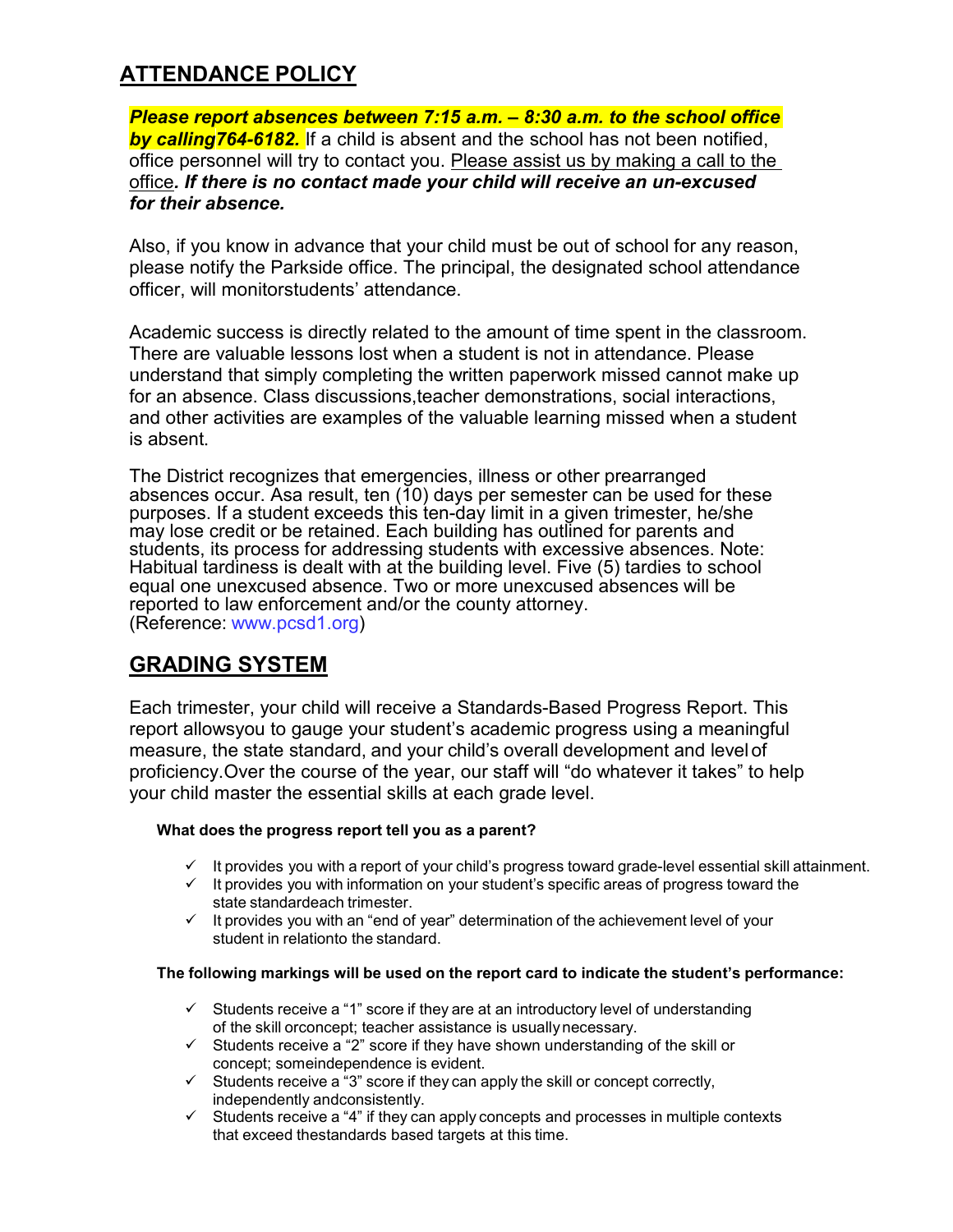# **ATTENDANCE POLICY**

*Please report absences between 7:15 a.m. – 8:30 a.m. to the school office by calling764-6182.* If a child is absent and the school has not been notified, office personnel will try to contact you. Please assist us by making a call to the office*. If there is no contact made your child will receive an un-excused for their absence.*

Also, if you know in advance that your child must be out of school for any reason, please notify the Parkside office. The principal, the designated school attendance officer, will monitorstudents' attendance.

Academic success is directly related to the amount of time spent in the classroom. There are valuable lessons lost when a student is not in attendance. Please understand that simply completing the written paperwork missed cannot make up for an absence. Class discussions,teacher demonstrations, social interactions, and other activities are examples of the valuable learning missed when a student is absent.

The District recognizes that emergencies, illness or other prearranged absences occur. Asa result, ten (10) days per semester can be used for these purposes. If a student exceeds this ten-day limit in a given trimester, he/she may lose credit or be retained. Each building has outlined for parents and students, its process for addressing students with excessive absences. Note: Habitual tardiness is dealt with at the building level. Five (5) tardies to school equal one unexcused absence. Two or more unexcused absences will be reported to law enforcement and/or the county attorney. (Reference: www.pcsd1.org)

## **GRADING SYSTEM**

Each trimester, your child will receive a Standards-Based Progress Report. This report allowsyou to gauge your student's academic progress using a meaningful measure, the state standard, and your child's overall development and levelof proficiency.Over the course of the year, our staff will "do whatever it takes" to help your child master the essential skills at each grade level.

### **What does the progress report tell you as a parent?**

- $\checkmark$  It provides you with a report of your child's progress toward grade-level essential skill attainment.
- $\checkmark$  It provides you with information on your student's specific areas of progress toward the state standardeach trimester.
- $\checkmark$  It provides you with an "end of year" determination of the achievement level of your student in relationto the standard.

### **The following markings will be used on the report card to indicate the student's performance:**

- $\checkmark$  Students receive a "1" score if they are at an introductory level of understanding of the skill orconcept; teacher assistance is usuallynecessary.
- $\checkmark$  Students receive a "2" score if they have shown understanding of the skill or concept; someindependence is evident.
- $\checkmark$  Students receive a "3" score if they can apply the skill or concept correctly, independently andconsistently.
- $\checkmark$  Students receive a "4" if they can apply concepts and processes in multiple contexts that exceed thestandards based targets at this time.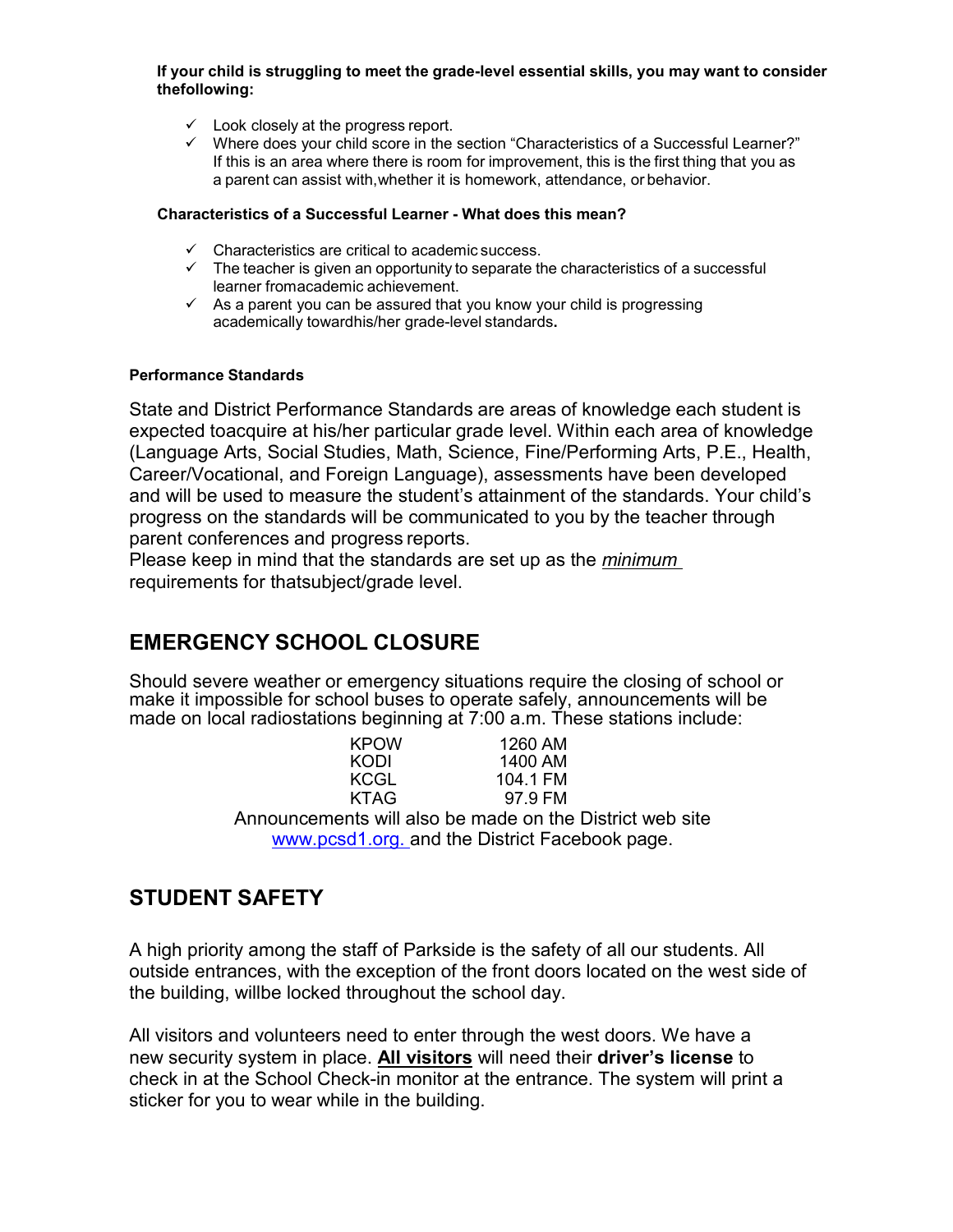#### **If your child is struggling to meet the grade-level essential skills, you may want to consider thefollowing:**

- $\checkmark$  Look closely at the progress report.
- $\checkmark$  Where does your child score in the section "Characteristics of a Successful Learner?" If this is an area where there is room for improvement, this is the first thing that you as a parent can assist with,whether it is homework, attendance, or behavior.

#### **Characteristics of a Successful Learner - What does this mean?**

- $\checkmark$  Characteristics are critical to academic success.
- $\checkmark$  The teacher is given an opportunity to separate the characteristics of a successful learner fromacademic achievement.
- $\checkmark$  As a parent you can be assured that you know your child is progressing academically towardhis/her grade-level standards**.**

#### **Performance Standards**

State and District Performance Standards are areas of knowledge each student is expected toacquire at his/her particular grade level. Within each area of knowledge (Language Arts, Social Studies, Math, Science, Fine/Performing Arts, P.E., Health, Career/Vocational, and Foreign Language), assessments have been developed and will be used to measure the student's attainment of the standards. Your child's progress on the standards will be communicated to you by the teacher through parent conferences and progress reports.

Please keep in mind that the standards are set up as the *minimum*  requirements for thatsubject/grade level.

## **EMERGENCY SCHOOL CLOSURE**

Should severe weather or emergency situations require the closing of school or make it impossible for school buses to operate safely, announcements will be made on local radiostations beginning at 7:00 a.m. These stations include:

| <b>KPOW</b> | 1260 AM  |
|-------------|----------|
| KODI        | 1400 AM  |
| KCGL        | 104.1 FM |
| KTAG        | 97.9 FM  |

Announcements will also be made on the District web site [www.pcsd1.org.](http://www.pcsd1.org/) and the District Facebook page.

## **STUDENT SAFETY**

A high priority among the staff of Parkside is the safety of all our students. All outside entrances, with the exception of the front doors located on the west side of the building, willbe locked throughout the school day.

All visitors and volunteers need to enter through the west doors. We have a new security system in place. **All visitors** will need their **driver's license** to check in at the School Check-in monitor at the entrance. The system will print a sticker for you to wear while in the building.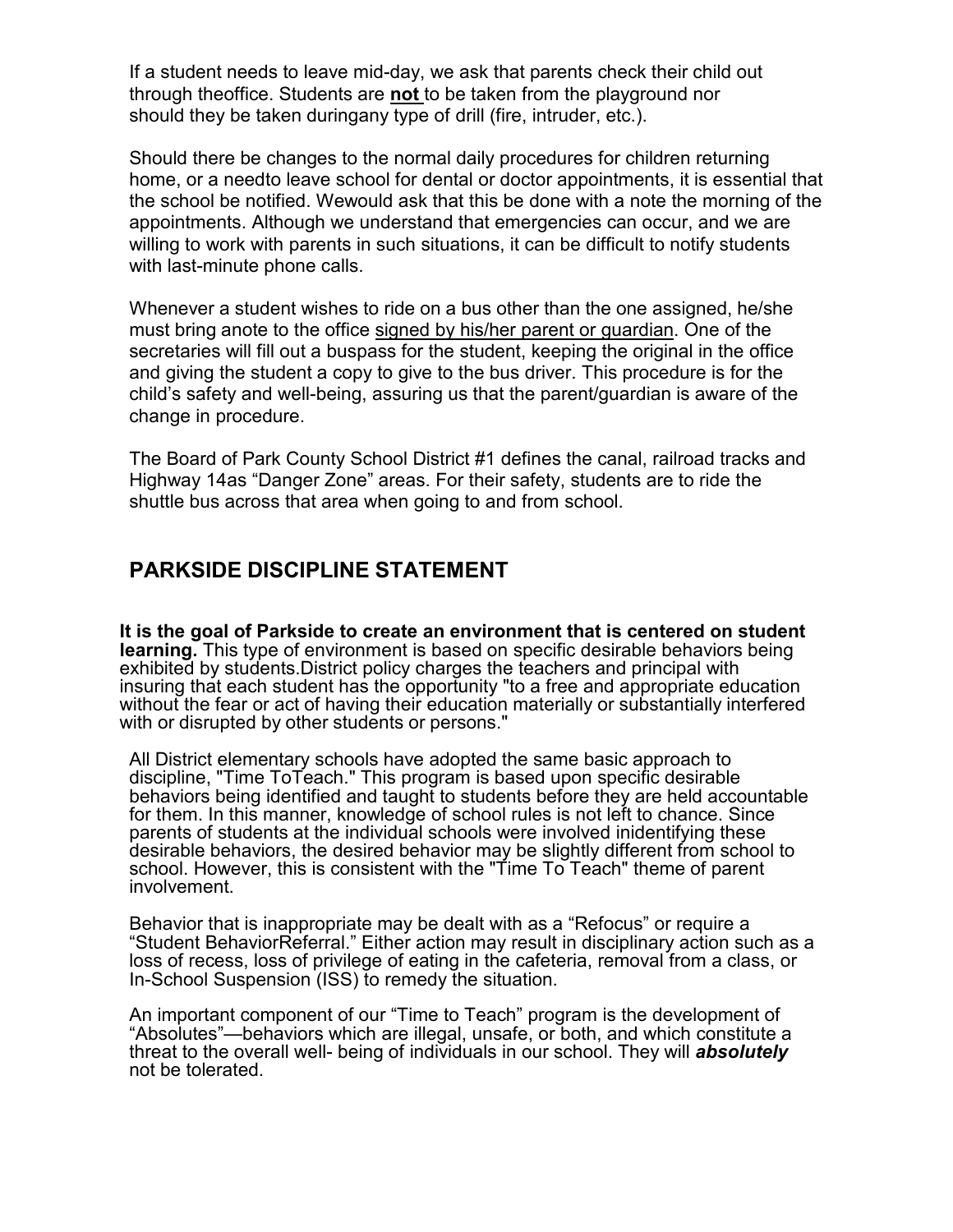If a student needs to leave mid-day, we ask that parents check their child out through theoffice. Students are **not** to be taken from the playground nor should they be taken duringany type of drill (fire, intruder, etc.).

Should there be changes to the normal daily procedures for children returning home, or a needto leave school for dental or doctor appointments, it is essential that the school be notified. Wewould ask that this be done with a note the morning of the appointments. Although we understand that emergencies can occur, and we are willing to work with parents in such situations, it can be difficult to notify students with last-minute phone calls.

Whenever a student wishes to ride on a bus other than the one assigned, he/she must bring anote to the office signed by his/her parent or guardian. One of the secretaries will fill out a buspass for the student, keeping the original in the office and giving the student a copy to give to the bus driver. This procedure is for the child's safety and well-being, assuring us that the parent/guardian is aware of the change in procedure.

The Board of Park County School District #1 defines the canal, railroad tracks and Highway 14as "Danger Zone" areas. For their safety, students are to ride the shuttle bus across that area when going to and from school.

## **PARKSIDE DISCIPLINE STATEMENT**

**It is the goal of Parkside to create an environment that is centered on student learning.** This type of environment is based on specific desirable behaviors being exhibited by students.District policy charges the teachers and principal with insuring that each student has the opportunity "to a free and appropriate education without the fear or act of having their education materially or substantially interfered with or disrupted by other students or persons."

All District elementary schools have adopted the same basic approach to discipline, "Time ToTeach." This program is based upon specific desirable behaviors being identified and taught to students before they are held accountable for them. In this manner, knowledge of school rules is not left to chance. Since parents of students at the individual schools were involved inidentifying these desirable behaviors, the desired behavior may be slightly different from school to school. However, this is consistent with the "Time To Teach" theme of parent involvement.

Behavior that is inappropriate may be dealt with as a "Refocus" or require a "Student BehaviorReferral." Either action may result in disciplinary action such as a loss of recess, loss of privilege of eating in the cafeteria, removal from a class, or In-School Suspension (ISS) to remedy the situation.

An important component of our "Time to Teach" program is the development of "Absolutes"—behaviors which are illegal, unsafe, or both, and which constitute a threat to the overall well- being of individuals in our school. They will *absolutely* not be tolerated.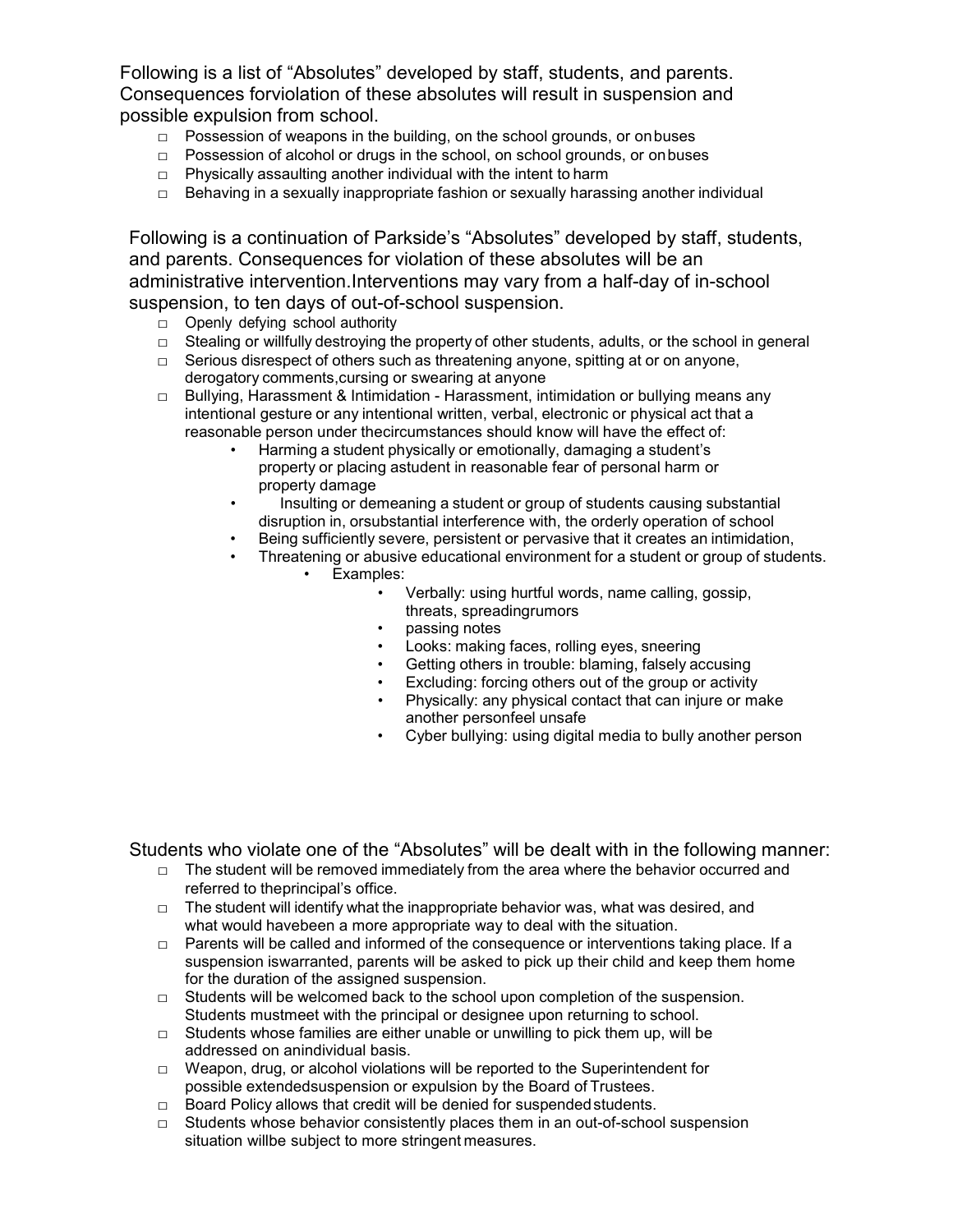Following is a list of "Absolutes" developed by staff, students, and parents. Consequences forviolation of these absolutes will result in suspension and possible expulsion from school.

- □ Possession of weapons in the building, on the school grounds, or onbuses
- □ Possession of alcohol or drugs in the school, on school grounds, or onbuses
- $\Box$  Physically assaulting another individual with the intent to harm
- $\Box$  Behaving in a sexually inappropriate fashion or sexually harassing another individual

Following is a continuation of Parkside's "Absolutes" developed by staff, students, and parents. Consequences for violation of these absolutes will be an administrative intervention.Interventions may vary from a half-day of in-school suspension, to ten days of out-of-school suspension.

- $\Box$  Openly defying school authority
- $\Box$  Stealing or willfully destroying the property of other students, adults, or the school in general
- □ Serious disrespect of others such as threatening anyone, spitting at or on anyone, derogatory comments,cursing or swearing at anyone
- $\Box$  Bullying, Harassment & Intimidation Harassment, intimidation or bullying means any intentional gesture or any intentional written, verbal, electronic or physical act that a reasonable person under thecircumstances should know will have the effect of:
	- Harming a student physically or emotionally, damaging a student's property or placing astudent in reasonable fear of personal harm or property damage
	- Insulting or demeaning a student or group of students causing substantial disruption in, orsubstantial interference with, the orderly operation of school
	- Being sufficiently severe, persistent or pervasive that it creates an intimidation,
	- Threatening or abusive educational environment for a student or group of students.
		- Examples:
			- Verbally: using hurtful words, name calling, gossip, threats, spreadingrumors
			- passing notes
			- Looks: making faces, rolling eyes, sneering
			- Getting others in trouble: blaming, falsely accusing
			- Excluding: forcing others out of the group or activity
			- Physically: any physical contact that can injure or make another personfeel unsafe
			- Cyber bullying: using digital media to bully another person

Students who violate one of the "Absolutes" will be dealt with in the following manner:

- $\Box$  The student will be removed immediately from the area where the behavior occurred and referred to theprincipal's office.
- $\Box$  The student will identify what the inappropriate behavior was, what was desired, and what would havebeen a more appropriate way to deal with the situation.
- $\Box$  Parents will be called and informed of the consequence or interventions taking place. If a suspension iswarranted, parents will be asked to pick up their child and keep them home for the duration of the assigned suspension.
- $\Box$  Students will be welcomed back to the school upon completion of the suspension. Students mustmeet with the principal or designee upon returning to school.
- $\Box$  Students whose families are either unable or unwilling to pick them up, will be addressed on anindividual basis.
- □ Weapon, drug, or alcohol violations will be reported to the Superintendent for possible extendedsuspension or expulsion by the Board of Trustees.
- □ Board Policy allows that credit will be denied for suspended students.
- $\Box$  Students whose behavior consistently places them in an out-of-school suspension situation willbe subject to more stringent measures.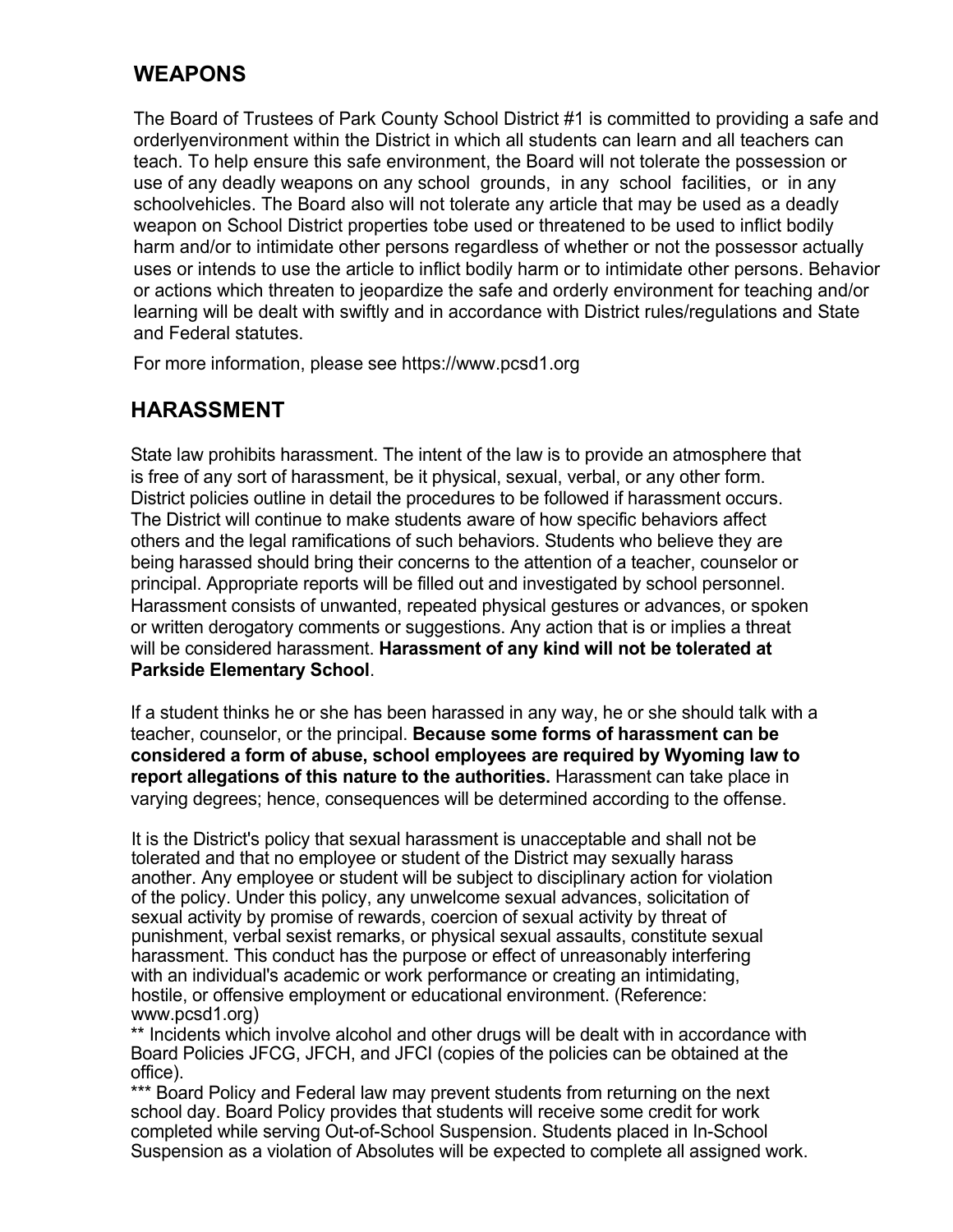## **WEAPONS**

The Board of Trustees of Park County School District #1 is committed to providing a safe and orderlyenvironment within the District in which all students can learn and all teachers can teach. To help ensure this safe environment, the Board will not tolerate the possession or use of any deadly weapons on any school grounds, in any school facilities, or in any schoolvehicles. The Board also will not tolerate any article that may be used as a deadly weapon on School District properties tobe used or threatened to be used to inflict bodily harm and/or to intimidate other persons regardless of whether or not the possessor actually uses or intends to use the article to inflict bodily harm or to intimidate other persons. Behavior or actions which threaten to jeopardize the safe and orderly environment for teaching and/or learning will be dealt with swiftly and in accordance with District rules/regulations and State and Federal statutes.

For more information, please see https:/[/www.pcsd1.org](http://www.pcsd1.org/)

## **HARASSMENT**

State law prohibits harassment. The intent of the law is to provide an atmosphere that is free of any sort of harassment, be it physical, sexual, verbal, or any other form. District policies outline in detail the procedures to be followed if harassment occurs. The District will continue to make students aware of how specific behaviors affect others and the legal ramifications of such behaviors. Students who believe they are being harassed should bring their concerns to the attention of a teacher, counselor or principal. Appropriate reports will be filled out and investigated by school personnel. Harassment consists of unwanted, repeated physical gestures or advances, or spoken or written derogatory comments or suggestions. Any action that is or implies a threat will be considered harassment. **Harassment of any kind will not be tolerated at Parkside Elementary School**.

If a student thinks he or she has been harassed in any way, he or she should talk with a teacher, counselor, or the principal. **Because some forms of harassment can be considered a form of abuse, school employees are required by Wyoming law to report allegations of this nature to the authorities.** Harassment can take place in varying degrees; hence, consequences will be determined according to the offense.

It is the District's policy that sexual harassment is unacceptable and shall not be tolerated and that no employee or student of the District may sexually harass another. Any employee or student will be subject to disciplinary action for violation of the policy. Under this policy, any unwelcome sexual advances, solicitation of sexual activity by promise of rewards, coercion of sexual activity by threat of punishment, verbal sexist remarks, or physical sexual assaults, constitute sexual harassment. This conduct has the purpose or effect of unreasonably interfering with an individual's academic or work performance or creating an intimidating, hostile, or offensive employment or educational environment. (Reference: www.pcsd1.org)

\*\* Incidents which involve alcohol and other drugs will be dealt with in accordance with Board Policies JFCG, JFCH, and JFCI (copies of the policies can be obtained at the office).

\*\*\* Board Policy and Federal law may prevent students from returning on the next school day. Board Policy provides that students will receive some credit for work completed while serving Out-of-School Suspension. Students placed in In-School Suspension as a violation of Absolutes will be expected to complete all assigned work.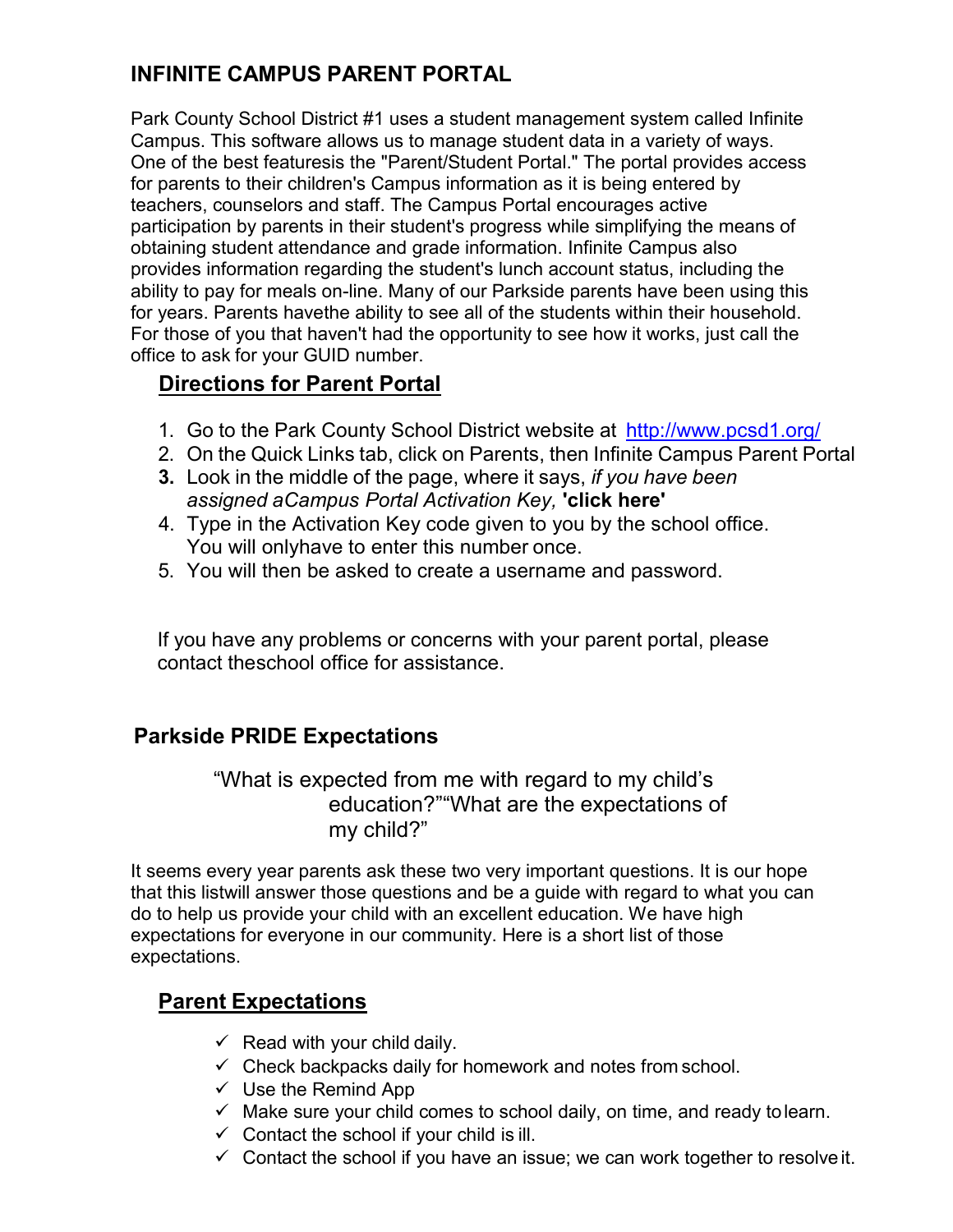# **INFINITE CAMPUS PARENT PORTAL**

Park County School District #1 uses a student management system called Infinite Campus. This software allows us to manage student data in a variety of ways. One of the best featuresis the "Parent/Student Portal." The portal provides access for parents to their children's Campus information as it is being entered by teachers, counselors and staff. The Campus Portal encourages active participation by parents in their student's progress while simplifying the means of obtaining student attendance and grade information. Infinite Campus also provides information regarding the student's lunch account status, including the ability to pay for meals on-line. Many of our Parkside parents have been using this for years. Parents havethe ability to see all of the students within their household. For those of you that haven't had the opportunity to see how it works, just call the office to ask for your GUID number.

## **Directions for Parent Portal**

- 1. Go to the Park County School District website at [http://ww](http://www.pcsd1.org/)w.pcsd1.org/
- 2. On the Quick Links tab, click on Parents, then Infinite Campus Parent Portal
- **3.** Look in the middle of the page, where it says, *if you have been assigned aCampus Portal Activation Key,* **'click here'**
- 4. Type in the Activation Key code given to you by the school office. You will onlyhave to enter this number once.
- 5. You will then be asked to create a username and password.

If you have any problems or concerns with your parent portal, please contact theschool office for assistance.

## **Parkside PRIDE Expectations**

"What is expected from me with regard to my child's education?""What are the expectations of my child?"

It seems every year parents ask these two very important questions. It is our hope that this listwill answer those questions and be a guide with regard to what you can do to help us provide your child with an excellent education. We have high expectations for everyone in our community. Here is a short list of those expectations.

## **Parent Expectations**

- $\checkmark$  Read with your child daily.
- $\checkmark$  Check backpacks daily for homework and notes from school.
- $\checkmark$  Use the Remind App
- $\checkmark$  Make sure your child comes to school daily, on time, and ready to learn.
- $\checkmark$  Contact the school if your child is ill.
- $\checkmark$  Contact the school if you have an issue; we can work together to resolve it.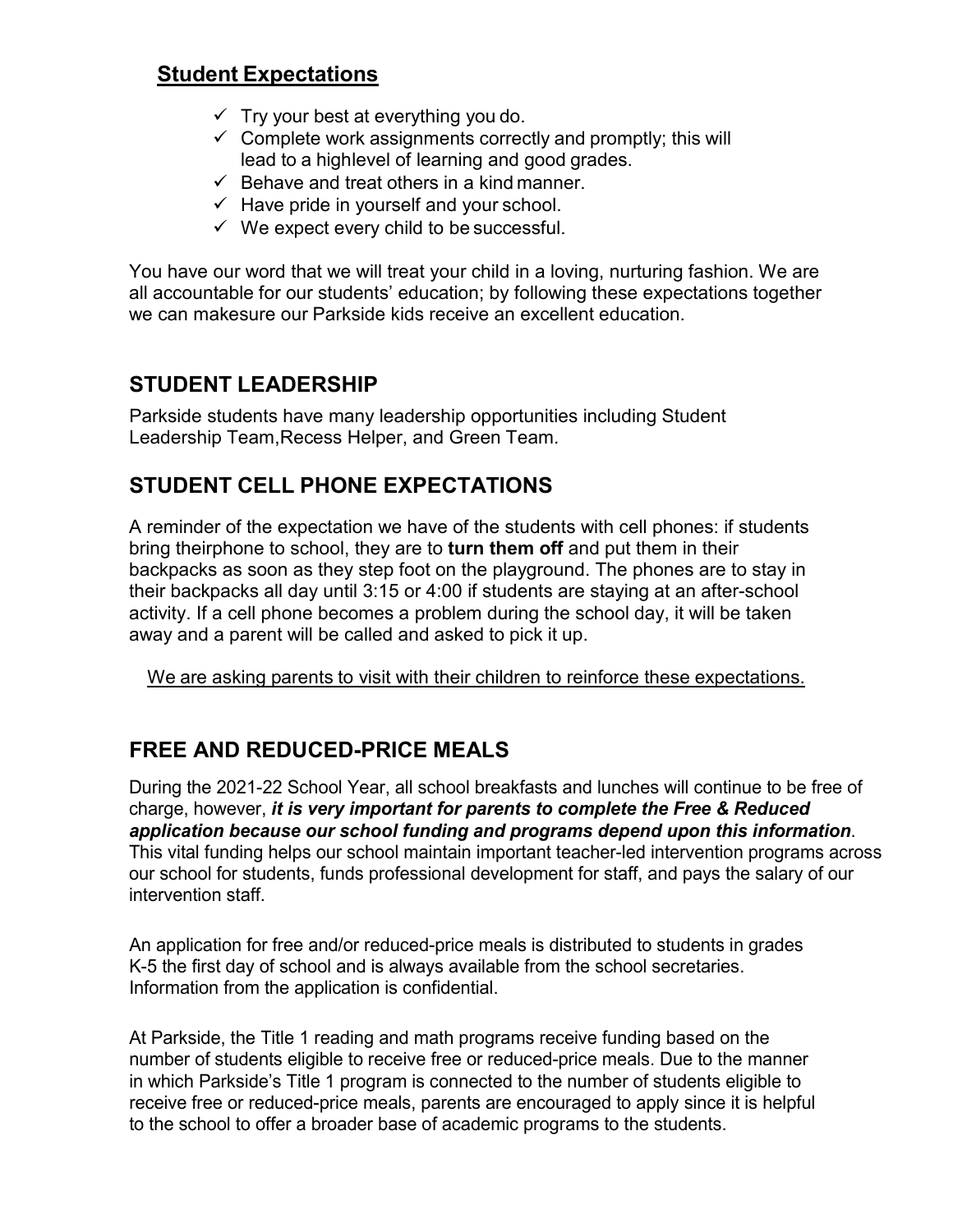## **Student Expectations**

- $\checkmark$  Try your best at everything you do.
- $\checkmark$  Complete work assignments correctly and promptly; this will lead to a highlevel of learning and good grades.
- $\checkmark$  Behave and treat others in a kind manner.
- $\checkmark$  Have pride in yourself and your school.
- $\checkmark$  We expect every child to be successful.

You have our word that we will treat your child in a loving, nurturing fashion. We are all accountable for our students' education; by following these expectations together we can makesure our Parkside kids receive an excellent education.

## **STUDENT LEADERSHIP**

Parkside students have many leadership opportunities including Student Leadership Team,Recess Helper, and Green Team.

# **STUDENT CELL PHONE EXPECTATIONS**

A reminder of the expectation we have of the students with cell phones: if students bring theirphone to school, they are to **turn them off** and put them in their backpacks as soon as they step foot on the playground. The phones are to stay in their backpacks all day until 3:15 or 4:00 if students are staying at an after-school activity. If a cell phone becomes a problem during the school day, it will be taken away and a parent will be called and asked to pick it up.

We are asking parents to visit with their children to reinforce these expectations.

# **FREE AND REDUCED-PRICE MEALS**

During the 2021-22 School Year, all school breakfasts and lunches will continue to be free of charge, however, *it is very important for parents to complete the Free & Reduced application because our school funding and programs depend upon this information*. This vital funding helps our school maintain important teacher-led intervention programs across our school for students, funds professional development for staff, and pays the salary of our intervention staff.

An application for free and/or reduced-price meals is distributed to students in grades K-5 the first day of school and is always available from the school secretaries. Information from the application is confidential.

At Parkside, the Title 1 reading and math programs receive funding based on the number of students eligible to receive free or reduced-price meals. Due to the manner in which Parkside's Title 1 program is connected to the number of students eligible to receive free or reduced-price meals, parents are encouraged to apply since it is helpful to the school to offer a broader base of academic programs to the students.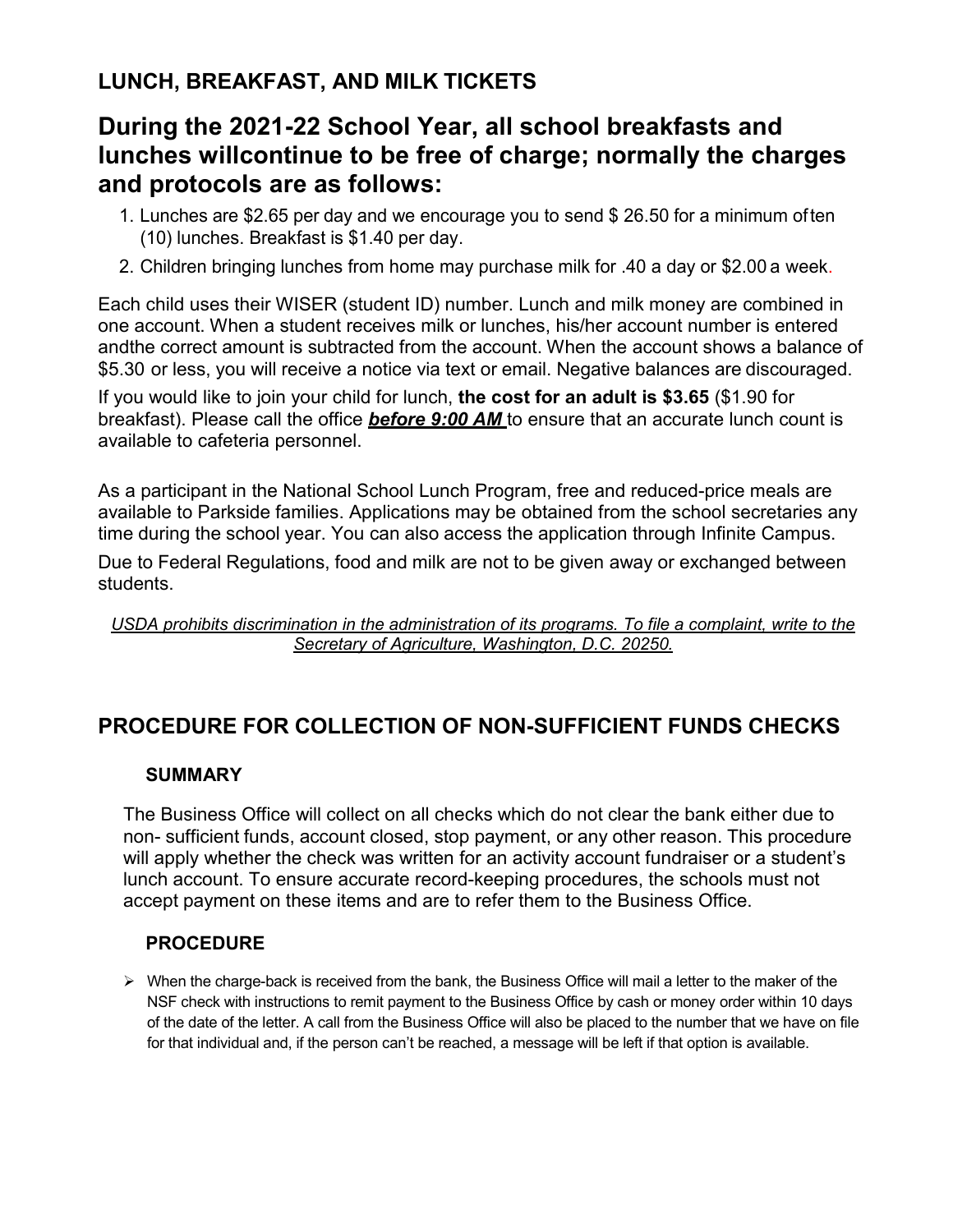# **LUNCH, BREAKFAST, AND MILK TICKETS**

# **During the 2021-22 School Year, all school breakfasts and lunches willcontinue to be free of charge; normally the charges and protocols are as follows:**

- 1. Lunches are \$2.65 per day and we encourage you to send \$ 26.50 for a minimum often (10) lunches. Breakfast is \$1.40 per day.
- 2. Children bringing lunches from home may purchase milk for .40 a day or \$2.00 a week.

Each child uses their WISER (student ID) number. Lunch and milk money are combined in one account. When a student receives milk or lunches, his/her account number is entered andthe correct amount is subtracted from the account. When the account shows a balance of \$5.30 or less, you will receive a notice via text or email. Negative balances are discouraged.

If you would like to join your child for lunch, **the cost for an adult is \$3.65** (\$1.90 for breakfast). Please call the office *before 9:00 AM* to ensure that an accurate lunch count is available to cafeteria personnel.

As a participant in the National School Lunch Program, free and reduced-price meals are available to Parkside families. Applications may be obtained from the school secretaries any time during the school year. You can also access the application through Infinite Campus.

Due to Federal Regulations, food and milk are not to be given away or exchanged between students.

*USDA prohibits discrimination in the administration of its programs. To file a complaint, write to the Secretary of Agriculture, Washington, D.C. 20250.*

# **PROCEDURE FOR COLLECTION OF NON-SUFFICIENT FUNDS CHECKS**

### **SUMMARY**

The Business Office will collect on all checks which do not clear the bank either due to non- sufficient funds, account closed, stop payment, or any other reason. This procedure will apply whether the check was written for an activity account fundraiser or a student's lunch account. To ensure accurate record-keeping procedures, the schools must not accept payment on these items and are to refer them to the Business Office.

### **PROCEDURE**

 $\triangleright$  When the charge-back is received from the bank, the Business Office will mail a letter to the maker of the NSF check with instructions to remit payment to the Business Office by cash or money order within 10 days of the date of the letter. A call from the Business Office will also be placed to the number that we have on file for that individual and, if the person can't be reached, a message will be left if that option is available.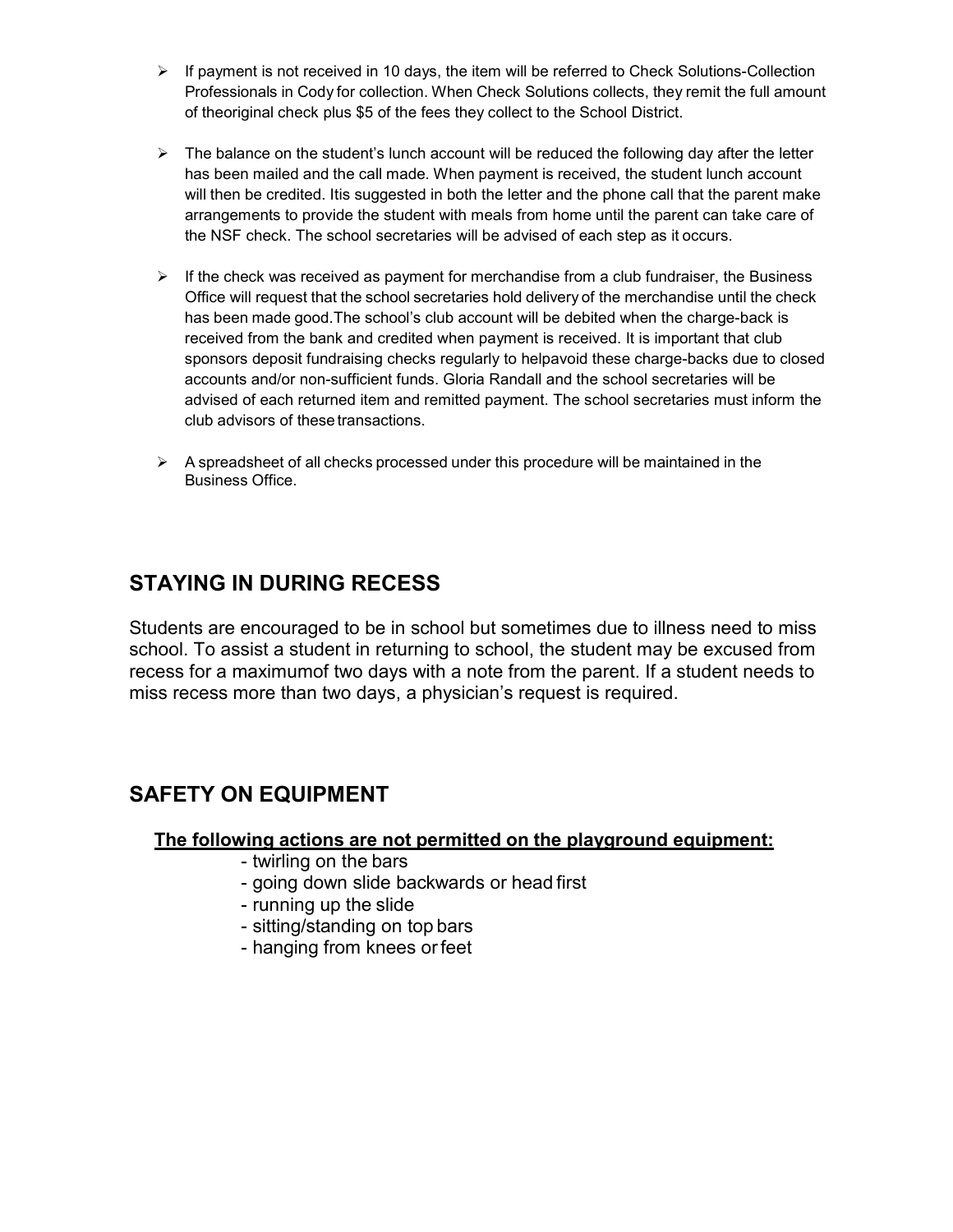- $\triangleright$  If payment is not received in 10 days, the item will be referred to Check Solutions-Collection Professionals in Cody for collection. When Check Solutions collects, they remit the full amount of theoriginal check plus \$5 of the fees they collect to the School District.
- $\triangleright$  The balance on the student's lunch account will be reduced the following day after the letter has been mailed and the call made. When payment is received, the student lunch account will then be credited. Itis suggested in both the letter and the phone call that the parent make arrangements to provide the student with meals from home until the parent can take care of the NSF check. The school secretaries will be advised of each step as it occurs.
- $\triangleright$  If the check was received as payment for merchandise from a club fundraiser, the Business Office will request that the school secretaries hold delivery of the merchandise until the check has been made good.The school's club account will be debited when the charge-back is received from the bank and credited when payment is received. It is important that club sponsors deposit fundraising checks regularly to helpavoid these charge-backs due to closed accounts and/or non-sufficient funds. Gloria Randall and the school secretaries will be advised of each returned item and remitted payment. The school secretaries must inform the club advisors of these transactions.
- $\triangleright$  A spreadsheet of all checks processed under this procedure will be maintained in the Business Office.

# **STAYING IN DURING RECESS**

Students are encouraged to be in school but sometimes due to illness need to miss school. To assist a student in returning to school, the student may be excused from recess for a maximumof two days with a note from the parent. If a student needs to miss recess more than two days, a physician's request is required.

# **SAFETY ON EQUIPMENT**

### **The following actions are not permitted on the playground equipment:**

- twirling on the bars
- going down slide backwards or head first
- running up the slide
- sitting/standing on top bars
- hanging from knees orfeet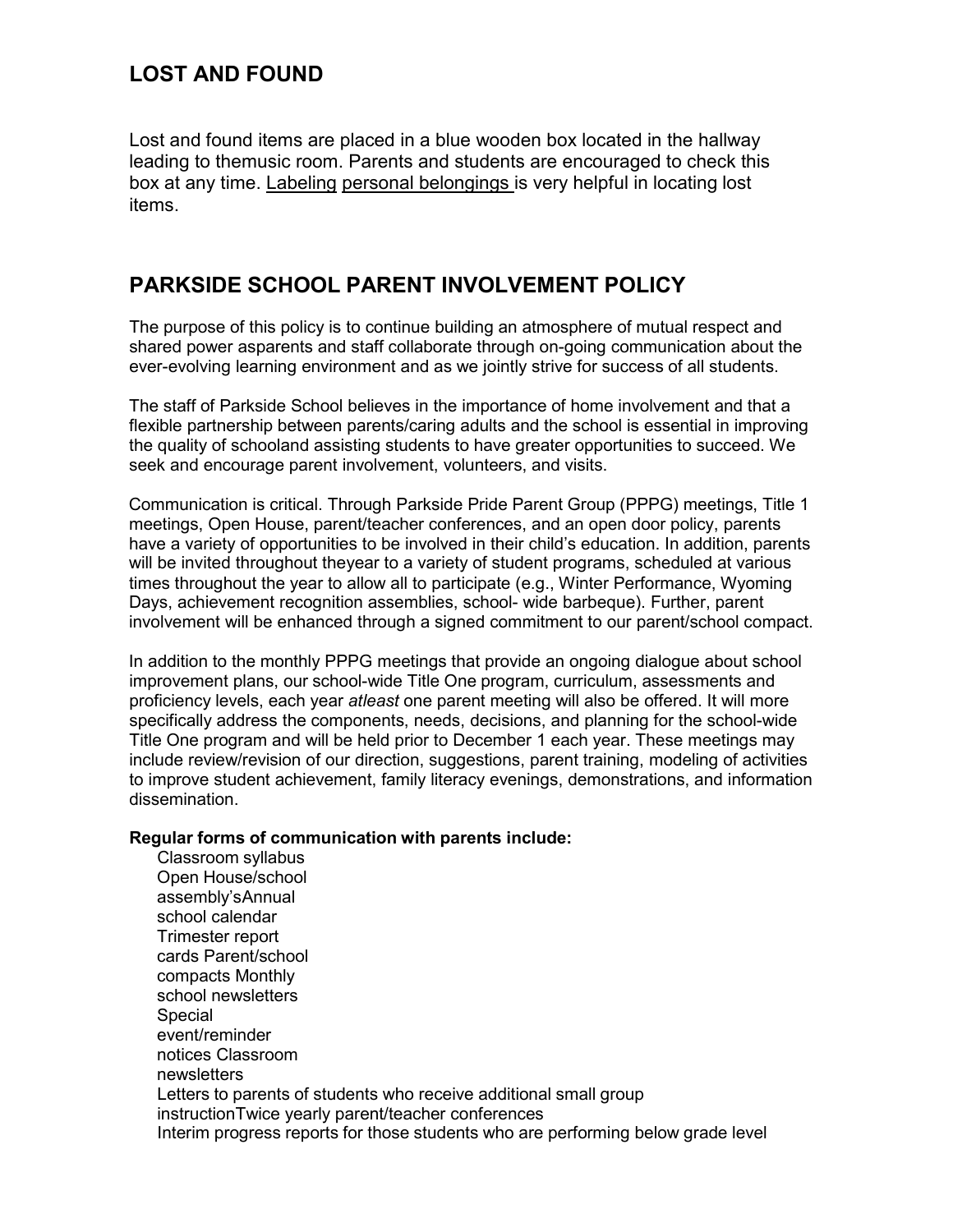## **LOST AND FOUND**

Lost and found items are placed in a blue wooden box located in the hallway leading to themusic room. Parents and students are encouraged to check this box at any time. Labeling personal belongings is very helpful in locating lost items.

## **PARKSIDE SCHOOL PARENT INVOLVEMENT POLICY**

The purpose of this policy is to continue building an atmosphere of mutual respect and shared power asparents and staff collaborate through on-going communication about the ever-evolving learning environment and as we jointly strive for success of all students.

The staff of Parkside School believes in the importance of home involvement and that a flexible partnership between parents/caring adults and the school is essential in improving the quality of schooland assisting students to have greater opportunities to succeed. We seek and encourage parent involvement, volunteers, and visits.

Communication is critical. Through Parkside Pride Parent Group (PPPG) meetings, Title 1 meetings, Open House, parent/teacher conferences, and an open door policy, parents have a variety of opportunities to be involved in their child's education. In addition, parents will be invited throughout theyear to a variety of student programs, scheduled at various times throughout the year to allow all to participate (e.g., Winter Performance, Wyoming Days, achievement recognition assemblies, school- wide barbeque). Further, parent involvement will be enhanced through a signed commitment to our parent/school compact.

In addition to the monthly PPPG meetings that provide an ongoing dialogue about school improvement plans, our school-wide Title One program, curriculum, assessments and proficiency levels, each year *atleast* one parent meeting will also be offered. It will more specifically address the components, needs, decisions, and planning for the school-wide Title One program and will be held prior to December 1 each year. These meetings may include review/revision of our direction, suggestions, parent training, modeling of activities to improve student achievement, family literacy evenings, demonstrations, and information dissemination.

### **Regular forms of communication with parents include:**

Classroom syllabus Open House/school assembly'sAnnual school calendar Trimester report cards Parent/school compacts Monthly school newsletters Special event/reminder notices Classroom newsletters Letters to parents of students who receive additional small group instructionTwice yearly parent/teacher conferences Interim progress reports for those students who are performing below grade level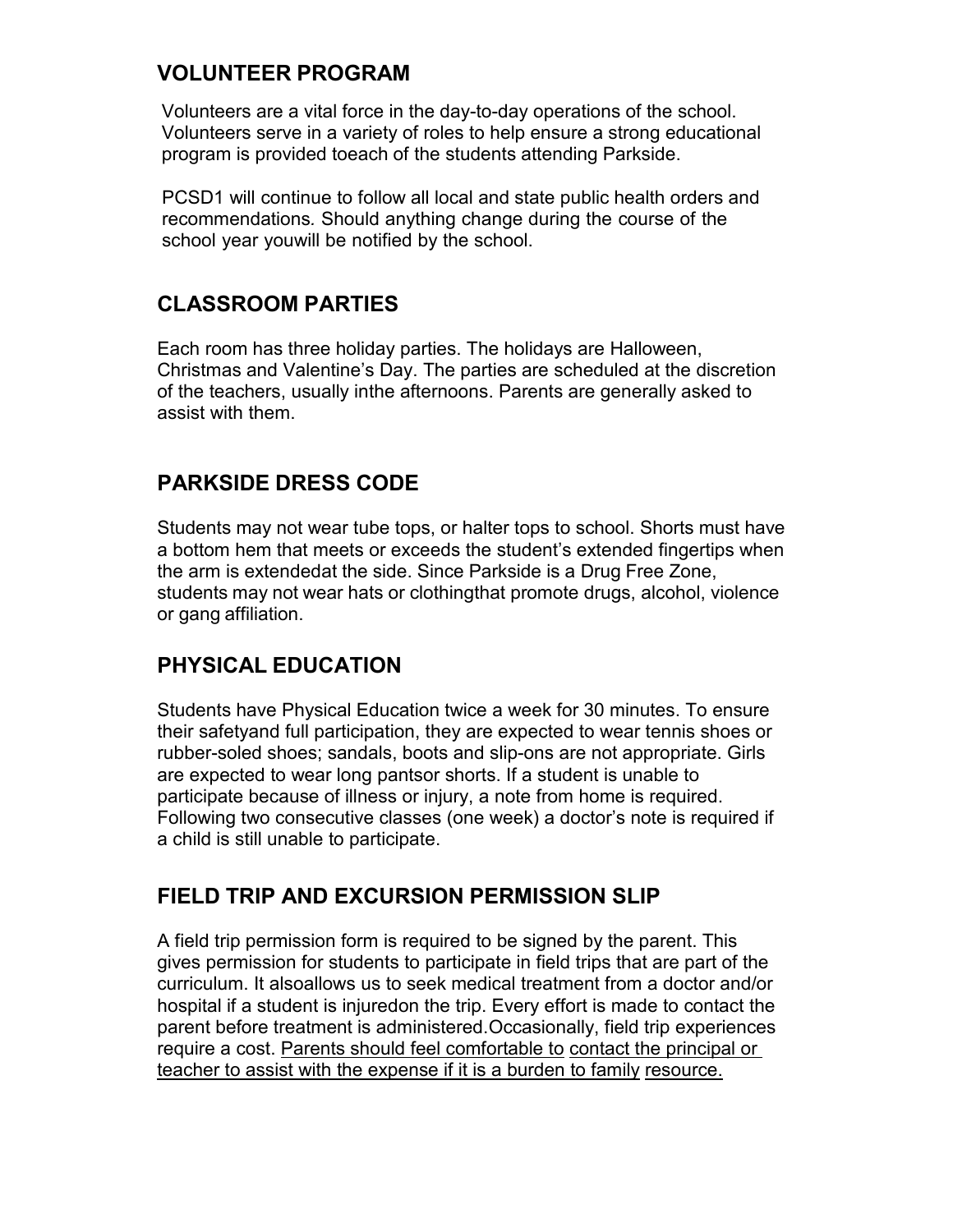## **VOLUNTEER PROGRAM**

Volunteers are a vital force in the day-to-day operations of the school. Volunteers serve in a variety of roles to help ensure a strong educational program is provided toeach of the students attending Parkside.

PCSD1 will continue to follow all local and state public health orders and recommendations*.* Should anything change during the course of the school year youwill be notified by the school.

## **CLASSROOM PARTIES**

Each room has three holiday parties. The holidays are Halloween, Christmas and Valentine's Day. The parties are scheduled at the discretion of the teachers, usually inthe afternoons. Parents are generally asked to assist with them.

## **PARKSIDE DRESS CODE**

Students may not wear tube tops, or halter tops to school. Shorts must have a bottom hem that meets or exceeds the student's extended fingertips when the arm is extendedat the side. Since Parkside is a Drug Free Zone, students may not wear hats or clothingthat promote drugs, alcohol, violence or gang affiliation.

# **PHYSICAL EDUCATION**

Students have Physical Education twice a week for 30 minutes. To ensure their safetyand full participation, they are expected to wear tennis shoes or rubber-soled shoes; sandals, boots and slip-ons are not appropriate. Girls are expected to wear long pantsor shorts. If a student is unable to participate because of illness or injury, a note from home is required. Following two consecutive classes (one week) a doctor's note is required if a child is still unable to participate.

## **FIELD TRIP AND EXCURSION PERMISSION SLIP**

A field trip permission form is required to be signed by the parent. This gives permission for students to participate in field trips that are part of the curriculum. It alsoallows us to seek medical treatment from a doctor and/or hospital if a student is injuredon the trip. Every effort is made to contact the parent before treatment is administered.Occasionally, field trip experiences require a cost. Parents should feel comfortable to contact the principal or teacher to assist with the expense if it is a burden to family resource.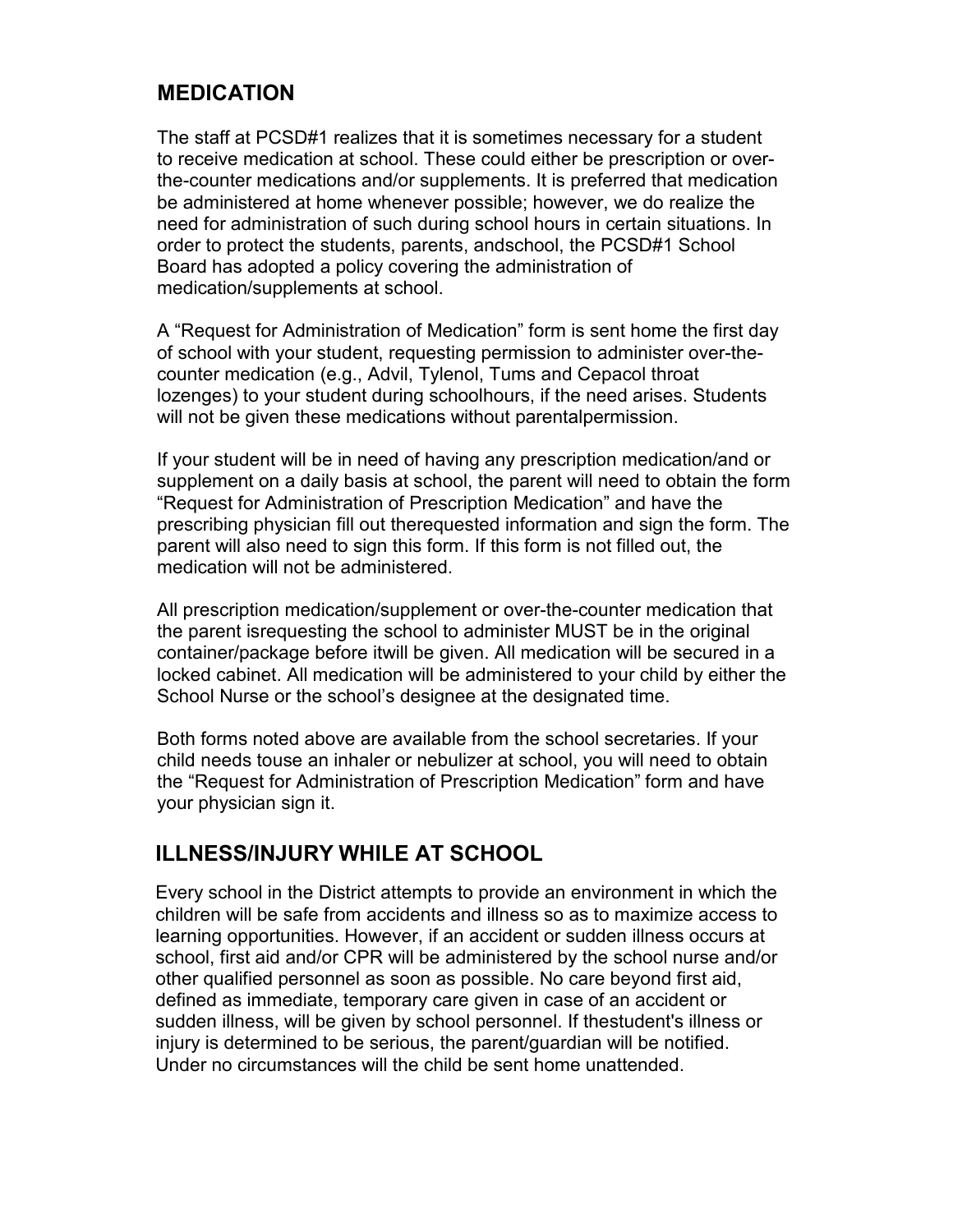## **MEDICATION**

The staff at PCSD#1 realizes that it is sometimes necessary for a student to receive medication at school. These could either be prescription or overthe-counter medications and/or supplements. It is preferred that medication be administered at home whenever possible; however, we do realize the need for administration of such during school hours in certain situations. In order to protect the students, parents, andschool, the PCSD#1 School Board has adopted a policy covering the administration of medication/supplements at school.

A "Request for Administration of Medication" form is sent home the first day of school with your student, requesting permission to administer over-thecounter medication (e.g., Advil, Tylenol, Tums and Cepacol throat lozenges) to your student during schoolhours, if the need arises. Students will not be given these medications without parentalpermission.

If your student will be in need of having any prescription medication/and or supplement on a daily basis at school, the parent will need to obtain the form "Request for Administration of Prescription Medication" and have the prescribing physician fill out therequested information and sign the form. The parent will also need to sign this form. If this form is not filled out, the medication will not be administered.

All prescription medication/supplement or over-the-counter medication that the parent isrequesting the school to administer MUST be in the original container/package before itwill be given. All medication will be secured in a locked cabinet. All medication will be administered to your child by either the School Nurse or the school's designee at the designated time.

Both forms noted above are available from the school secretaries. If your child needs touse an inhaler or nebulizer at school, you will need to obtain the "Request for Administration of Prescription Medication" form and have your physician sign it.

# **ILLNESS/INJURY WHILE AT SCHOOL**

Every school in the District attempts to provide an environment in which the children will be safe from accidents and illness so as to maximize access to learning opportunities. However, if an accident or sudden illness occurs at school, first aid and/or CPR will be administered by the school nurse and/or other qualified personnel as soon as possible. No care beyond first aid, defined as immediate, temporary care given in case of an accident or sudden illness, will be given by school personnel. If thestudent's illness or injury is determined to be serious, the parent/guardian will be notified. Under no circumstances will the child be sent home unattended.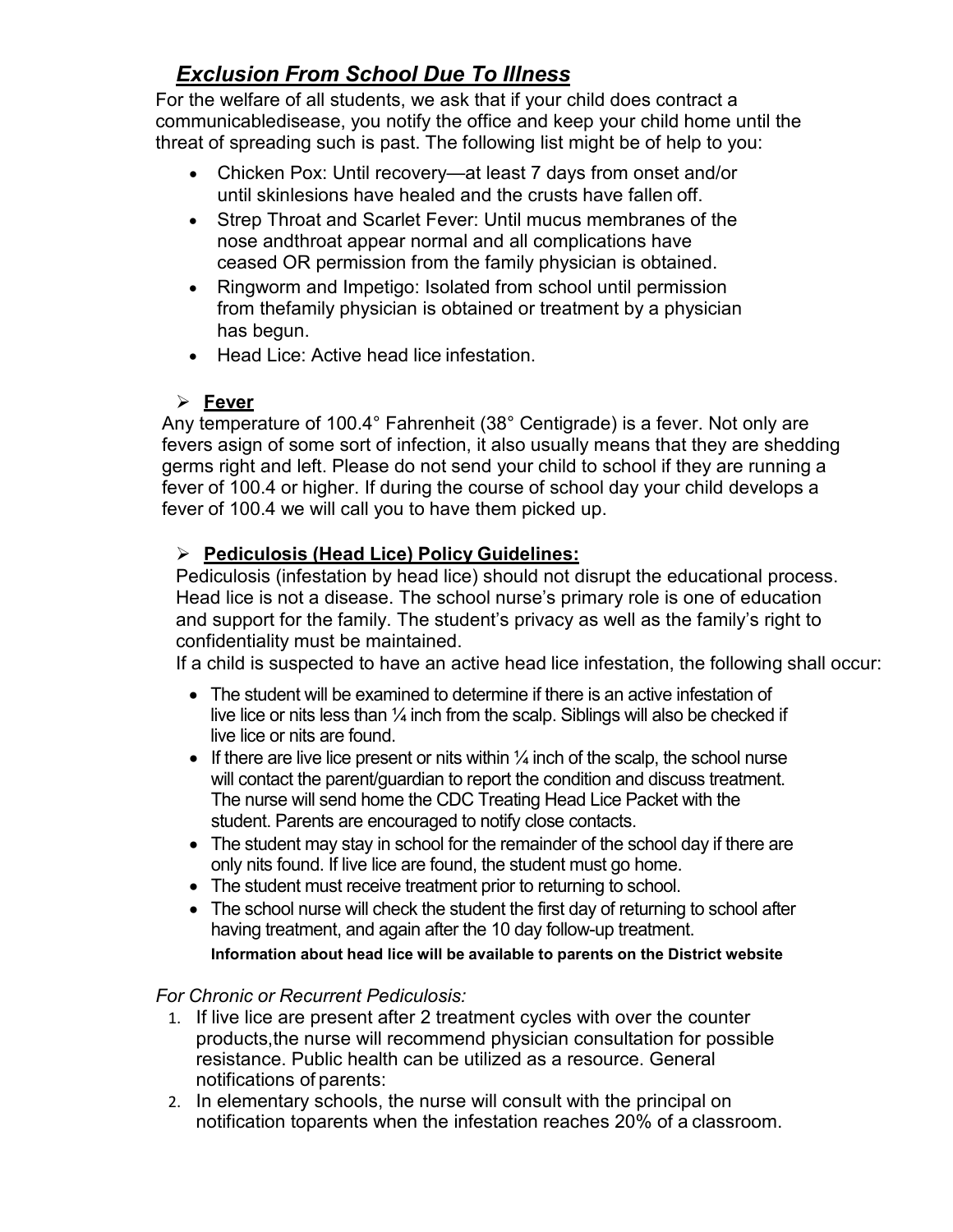# *Exclusion From School Due To Illness*

For the welfare of all students, we ask that if your child does contract a communicabledisease, you notify the office and keep your child home until the threat of spreading such is past. The following list might be of help to you:

- Chicken Pox: Until recovery—at least 7 days from onset and/or until skinlesions have healed and the crusts have fallen off.
- Strep Throat and Scarlet Fever: Until mucus membranes of the nose andthroat appear normal and all complications have ceased OR permission from the family physician is obtained.
- Ringworm and Impetigo: Isolated from school until permission from thefamily physician is obtained or treatment by a physician has begun.
- Head Lice: Active head lice infestation.

## **Fever**

Any temperature of 100.4° Fahrenheit (38° Centigrade) is a fever. Not only are fevers asign of some sort of infection, it also usually means that they are shedding germs right and left. Please do not send your child to school if they are running a fever of 100.4 or higher. If during the course of school day your child develops a fever of 100.4 we will call you to have them picked up.

## **Pediculosis (Head Lice) Policy Guidelines:**

Pediculosis (infestation by head lice) should not disrupt the educational process. Head lice is not a disease. The school nurse's primary role is one of education and support for the family. The student's privacy as well as the family's right to confidentiality must be maintained.

If a child is suspected to have an active head lice infestation, the following shall occur:

- The student will be examined to determine if there is an active infestation of live lice or nits less than  $\frac{1}{4}$  inch from the scalp. Siblings will also be checked if live lice or nits are found.
- If there are live lice present or nits within  $\frac{1}{4}$  inch of the scalp, the school nurse will contact the parent/guardian to report the condition and discuss treatment. The nurse will send home the CDC Treating Head Lice Packet with the student. Parents are encouraged to notify close contacts.
- The student may stay in school for the remainder of the school day if there are only nits found. If live lice are found, the student must go home.
- The student must receive treatment prior to returning to school.
- The school nurse will check the student the first day of returning to school after having treatment, and again after the 10 day follow-up treatment.

### **Information about head lice will be available to parents on the District website**

### *For Chronic or Recurrent Pediculosis:*

- 1. If live lice are present after 2 treatment cycles with over the counter products,the nurse will recommend physician consultation for possible resistance. Public health can be utilized as a resource. General notifications of parents:
- 2. In elementary schools, the nurse will consult with the principal on notification toparents when the infestation reaches 20% of a classroom.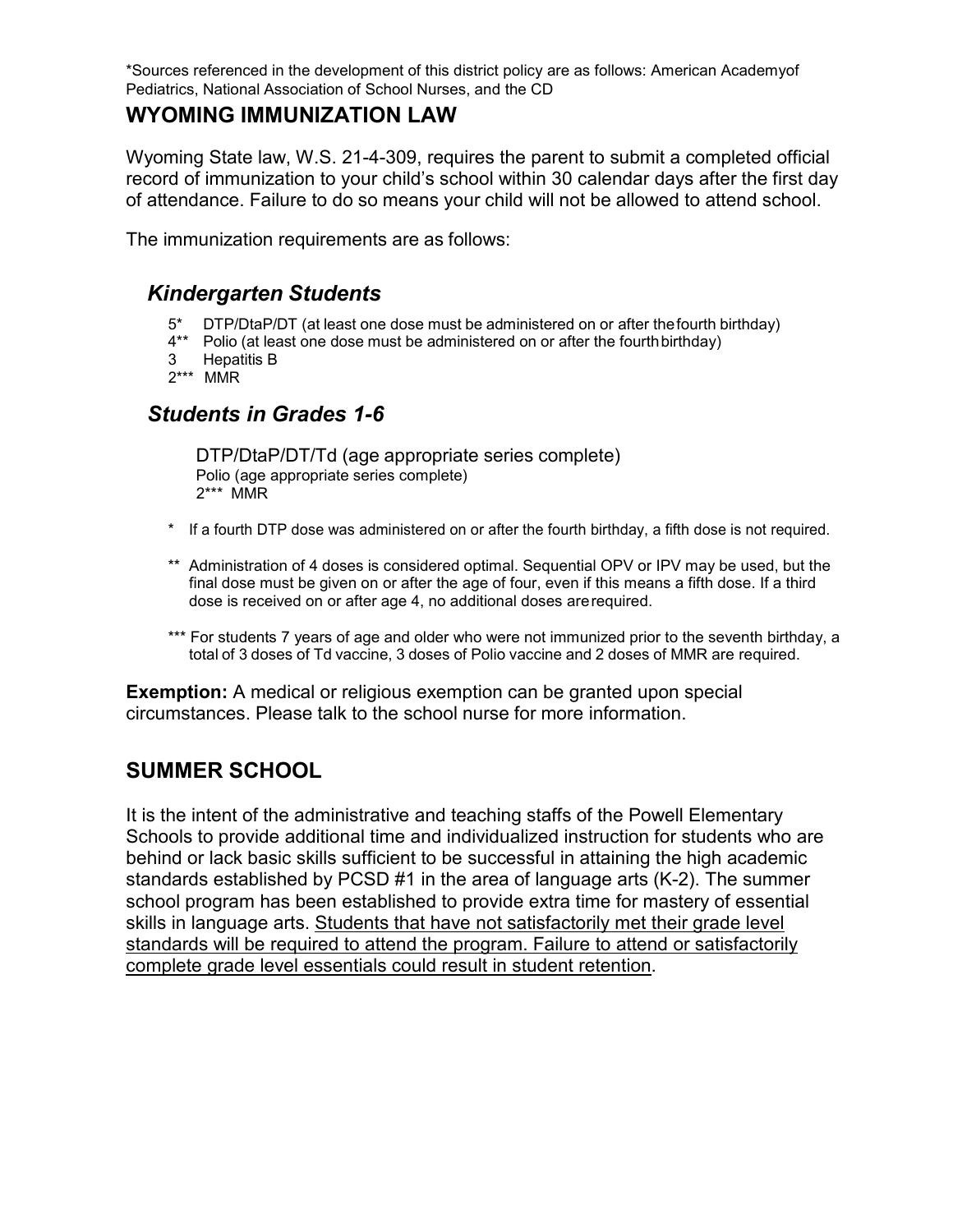\*Sources referenced in the development of this district policy are as follows: American Academyof Pediatrics, National Association of School Nurses, and the CD

### **WYOMING IMMUNIZATION LAW**

Wyoming State law, W.S. 21-4-309, requires the parent to submit a completed official record of immunization to your child's school within 30 calendar days after the first day of attendance. Failure to do so means your child will not be allowed to attend school.

The immunization requirements are as follows:

## *Kindergarten Students*

- 5\* DTP/DtaP/DT (at least one dose must be administered on or after thefourth birthday)
- 4\*\* Polio (at least one dose must be administered on or after the fourthbirthday)
- 3 Hepatitis B
- 2\*\*\* MMR

## *Students in Grades 1-6*

DTP/DtaP/DT/Td (age appropriate series complete) Polio (age appropriate series complete) 2\*\*\* MMR

- \* If a fourth DTP dose was administered on or after the fourth birthday, a fifth dose is not required.
- \*\* Administration of 4 doses is considered optimal. Sequential OPV or IPV may be used, but the final dose must be given on or after the age of four, even if this means a fifth dose. If a third dose is received on or after age 4, no additional doses arerequired.
- \*\*\* For students 7 years of age and older who were not immunized prior to the seventh birthday, a total of 3 doses of Td vaccine, 3 doses of Polio vaccine and 2 doses of MMR are required.

**Exemption:** A medical or religious exemption can be granted upon special circumstances. Please talk to the school nurse for more information.

## **SUMMER SCHOOL**

It is the intent of the administrative and teaching staffs of the Powell Elementary Schools to provide additional time and individualized instruction for students who are behind or lack basic skills sufficient to be successful in attaining the high academic standards established by PCSD #1 in the area of language arts (K-2). The summer school program has been established to provide extra time for mastery of essential skills in language arts. Students that have not satisfactorily met their grade level standards will be required to attend the program. Failure to attend or satisfactorily complete grade level essentials could result in student retention.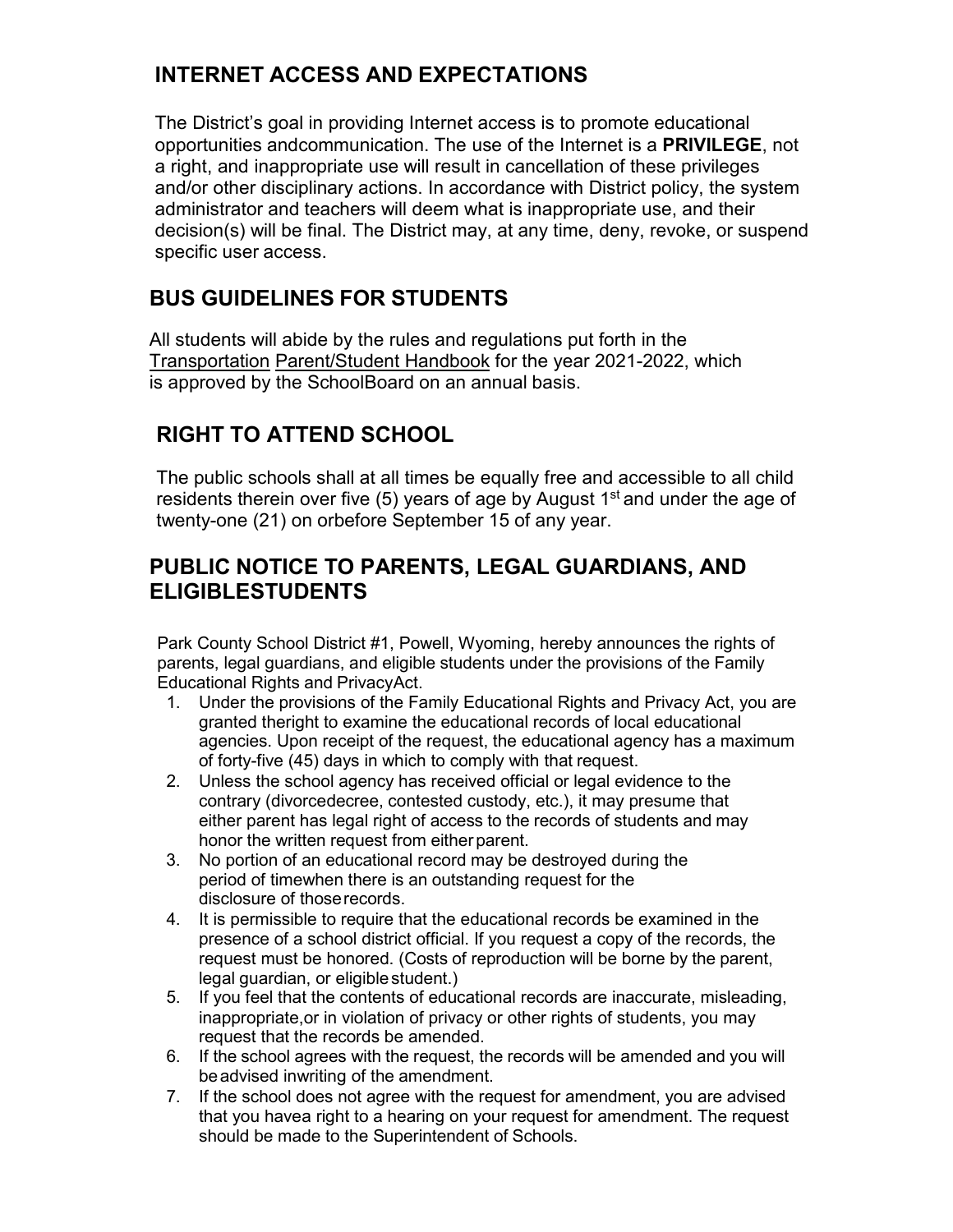# **INTERNET ACCESS AND EXPECTATIONS**

The District's goal in providing Internet access is to promote educational opportunities andcommunication. The use of the Internet is a **PRIVILEGE**, not a right, and inappropriate use will result in cancellation of these privileges and/or other disciplinary actions. In accordance with District policy, the system administrator and teachers will deem what is inappropriate use, and their decision(s) will be final. The District may, at any time, deny, revoke, or suspend specific user access.

# **BUS GUIDELINES FOR STUDENTS**

All students will abide by the rules and regulations put forth in the Transportation Parent/Student Handbook for the year 2021-2022, which is approved by the SchoolBoard on an annual basis.

# **RIGHT TO ATTEND SCHOOL**

The public schools shall at all times be equally free and accessible to all child residents therein over five (5) years of age by August  $1<sup>st</sup>$  and under the age of twenty-one (21) on orbefore September 15 of any year.

# **PUBLIC NOTICE TO PARENTS, LEGAL GUARDIANS, AND ELIGIBLESTUDENTS**

Park County School District #1, Powell, Wyoming, hereby announces the rights of parents, legal guardians, and eligible students under the provisions of the Family Educational Rights and PrivacyAct.

- 1. Under the provisions of the Family Educational Rights and Privacy Act, you are granted theright to examine the educational records of local educational agencies. Upon receipt of the request, the educational agency has a maximum of forty-five (45) days in which to comply with that request.
- 2. Unless the school agency has received official or legal evidence to the contrary (divorcedecree, contested custody, etc.), it may presume that either parent has legal right of access to the records of students and may honor the written request from either parent.
- 3. No portion of an educational record may be destroyed during the period of timewhen there is an outstanding request for the disclosure of thoserecords.
- 4. It is permissible to require that the educational records be examined in the presence of a school district official. If you request a copy of the records, the request must be honored. (Costs of reproduction will be borne by the parent, legal guardian, or eligiblestudent.)
- 5. If you feel that the contents of educational records are inaccurate, misleading, inappropriate,or in violation of privacy or other rights of students, you may request that the records be amended.
- 6. If the school agrees with the request, the records will be amended and you will beadvised inwriting of the amendment.
- 7. If the school does not agree with the request for amendment, you are advised that you havea right to a hearing on your request for amendment. The request should be made to the Superintendent of Schools.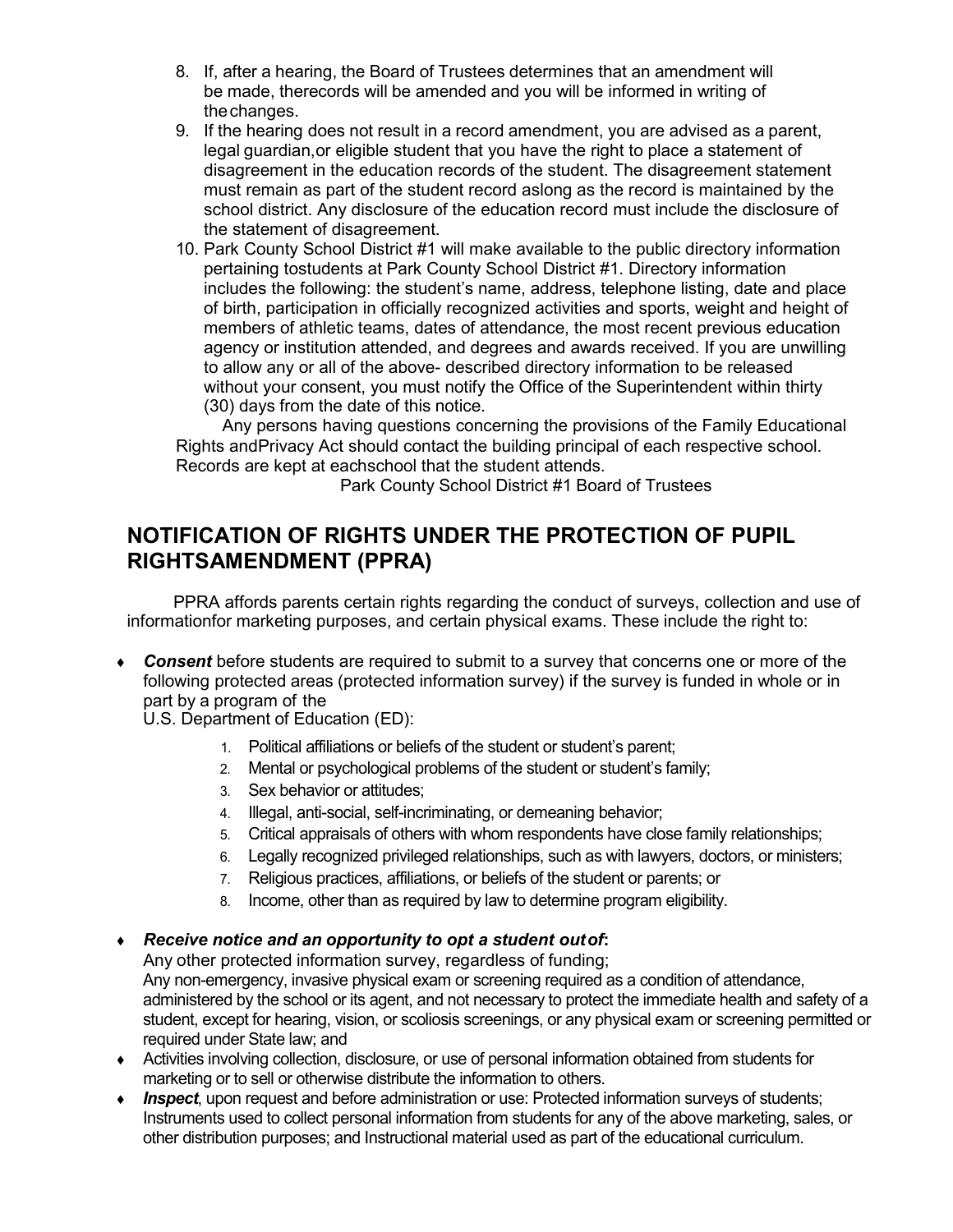- 8. If, after a hearing, the Board of Trustees determines that an amendment will be made, therecords will be amended and you will be informed in writing of thechanges.
- 9. If the hearing does not result in a record amendment, you are advised as a parent, legal guardian,or eligible student that you have the right to place a statement of disagreement in the education records of the student. The disagreement statement must remain as part of the student record aslong as the record is maintained by the school district. Any disclosure of the education record must include the disclosure of the statement of disagreement.
- 10. Park County School District #1 will make available to the public directory information pertaining tostudents at Park County School District #1. Directory information includes the following: the student's name, address, telephone listing, date and place of birth, participation in officially recognized activities and sports, weight and height of members of athletic teams, dates of attendance, the most recent previous education agency or institution attended, and degrees and awards received. If you are unwilling to allow any or all of the above- described directory information to be released without your consent, you must notify the Office of the Superintendent within thirty (30) days from the date of this notice.

Any persons having questions concerning the provisions of the Family Educational Rights andPrivacy Act should contact the building principal of each respective school. Records are kept at eachschool that the student attends.

Park County School District #1 Board of Trustees

## **NOTIFICATION OF RIGHTS UNDER THE PROTECTION OF PUPIL RIGHTSAMENDMENT (PPRA)**

PPRA affords parents certain rights regarding the conduct of surveys, collection and use of informationfor marketing purposes, and certain physical exams. These include the right to:

♦ *Consent* before students are required to submit to a survey that concerns one or more of the following protected areas (protected information survey) if the survey is funded in whole or in part by a program of the

U.S. Department of Education (ED):

- 1. Political affiliations or beliefs of the student or student's parent;
- 2. Mental or psychological problems of the student or student's family;
- 3. Sex behavior or attitudes;
- 4. Illegal, anti-social, self-incriminating, or demeaning behavior;
- 5. Critical appraisals of others with whom respondents have close family relationships;
- 6. Legally recognized privileged relationships, such as with lawyers, doctors, or ministers;
- 7. Religious practices, affiliations, or beliefs of the student or parents; or
- 8. Income, other than as required by law to determine program eligibility.
- ♦ *Receive notice and an opportunity to opt a student outof***:**

Any other protected information survey, regardless of funding;

Any non-emergency, invasive physical exam or screening required as a condition of attendance, administered by the school or its agent, and not necessary to protect the immediate health and safety of a student, except for hearing, vision, or scoliosis screenings, or any physical exam or screening permitted or required under State law; and

- ♦ Activities involving collection, disclosure, or use of personal information obtained from students for marketing or to sell or otherwise distribute the information to others.
- ♦ *Inspect*, upon request and before administration or use: Protected information surveys of students; Instruments used to collect personal information from students for any of the above marketing, sales, or other distribution purposes; and Instructional material used as part of the educational curriculum.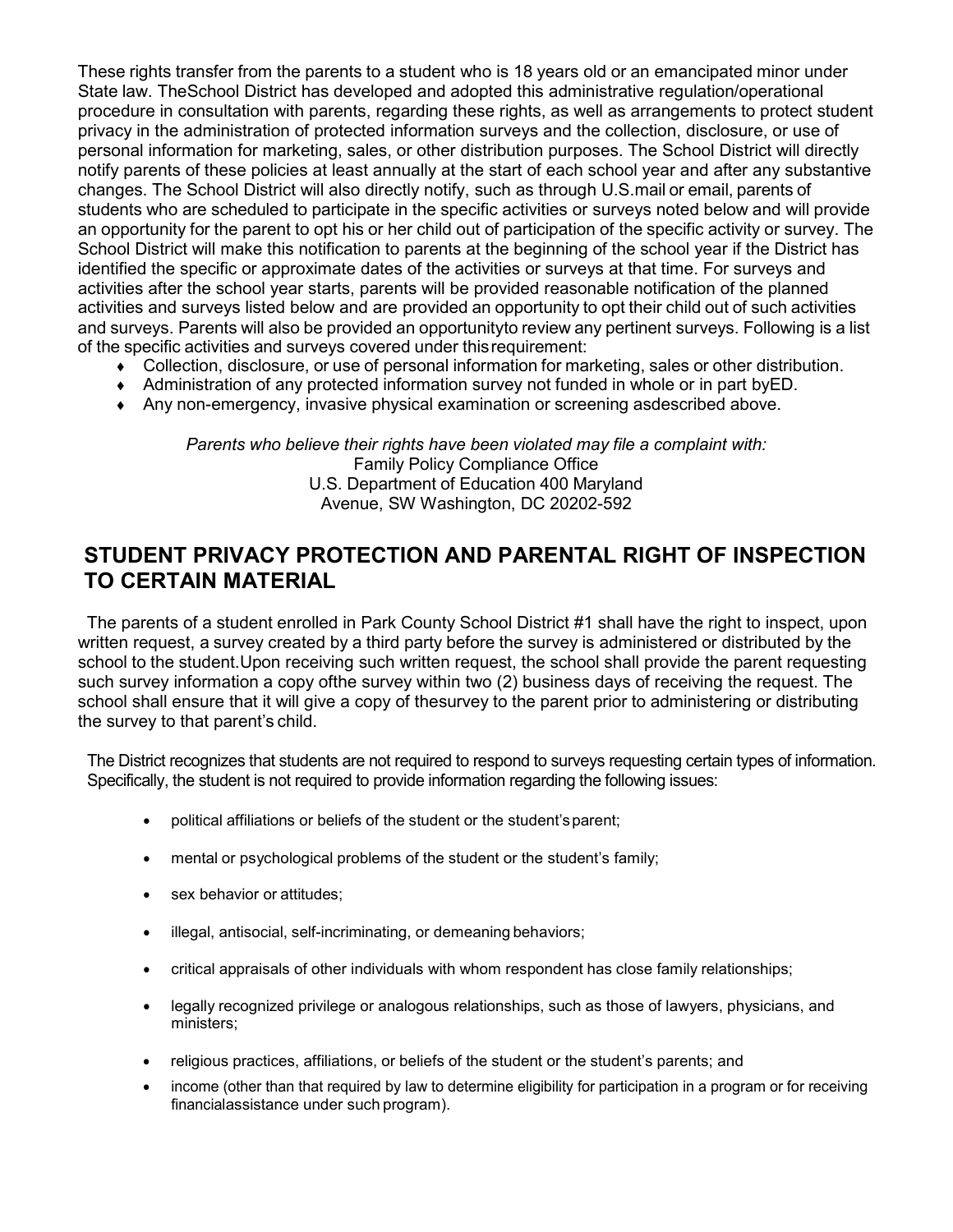These rights transfer from the parents to a student who is 18 years old or an emancipated minor under State law. TheSchool District has developed and adopted this administrative regulation/operational procedure in consultation with parents, regarding these rights, as well as arrangements to protect student privacy in the administration of protected information surveys and the collection, disclosure, or use of personal information for marketing, sales, or other distribution purposes. The School District will directly notify parents of these policies at least annually at the start of each school year and after any substantive changes. The School District will also directly notify, such as through U.S.mail or email, parents of students who are scheduled to participate in the specific activities or surveys noted below and will provide an opportunity for the parent to opt his or her child out of participation of the specific activity or survey. The School District will make this notification to parents at the beginning of the school year if the District has identified the specific or approximate dates of the activities or surveys at that time. For surveys and activities after the school year starts, parents will be provided reasonable notification of the planned activities and surveys listed below and are provided an opportunity to opt their child out of such activities and surveys. Parents will also be provided an opportunityto review any pertinent surveys. Following is a list of the specific activities and surveys covered under thisrequirement:

- ♦ Collection, disclosure, or use of personal information for marketing, sales or other distribution.
- ♦ Administration of any protected information survey not funded in whole or in part byED.
- ♦ Any non-emergency, invasive physical examination or screening asdescribed above.

*Parents who believe their rights have been violated may file a complaint with:* Family Policy Compliance Office U.S. Department of Education 400 Maryland Avenue, SW Washington, DC 20202-592

## **STUDENT PRIVACY PROTECTION AND PARENTAL RIGHT OF INSPECTION TO CERTAIN MATERIAL**

The parents of a student enrolled in Park County School District #1 shall have the right to inspect, upon written request, a survey created by a third party before the survey is administered or distributed by the school to the student.Upon receiving such written request, the school shall provide the parent requesting such survey information a copy ofthe survey within two (2) business days of receiving the request. The school shall ensure that it will give a copy of thesurvey to the parent prior to administering or distributing the survey to that parent's child.

The District recognizes that students are not required to respond to surveys requesting certain types of information. Specifically, the student is not required to provide information regarding the following issues:

- political affiliations or beliefs of the student or the student'sparent;
- mental or psychological problems of the student or the student's family;
- sex behavior or attitudes;
- illegal, antisocial, self-incriminating, or demeaning behaviors;
- critical appraisals of other individuals with whom respondent has close family relationships;
- legally recognized privilege or analogous relationships, such as those of lawyers, physicians, and ministers;
- religious practices, affiliations, or beliefs of the student or the student's parents; and
- income (other than that required by law to determine eligibility for participation in a program or for receiving financialassistance under such program).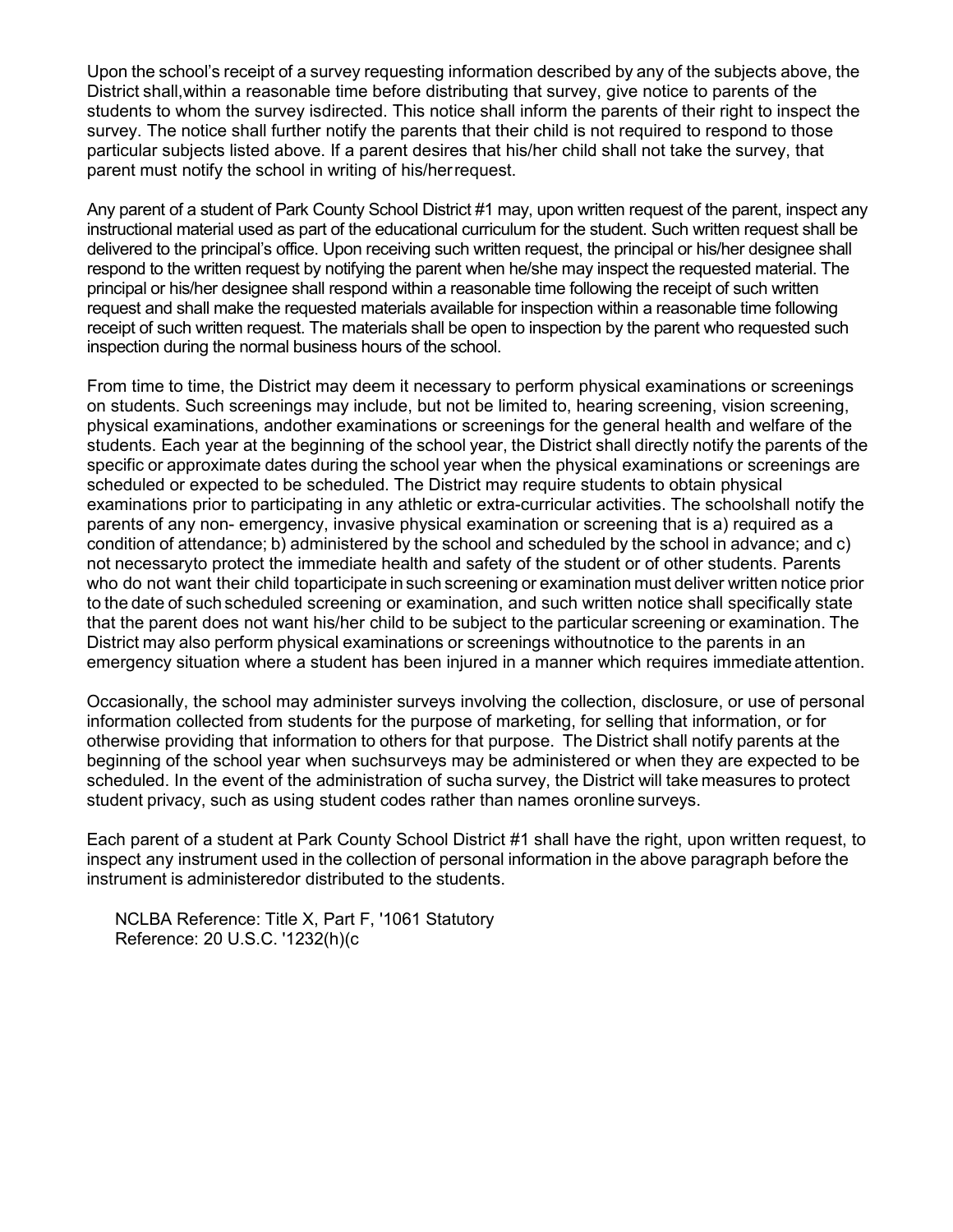Upon the school's receipt of a survey requesting information described by any of the subjects above, the District shall,within a reasonable time before distributing that survey, give notice to parents of the students to whom the survey isdirected. This notice shall inform the parents of their right to inspect the survey. The notice shall further notify the parents that their child is not required to respond to those particular subjects listed above. If a parent desires that his/her child shall not take the survey, that parent must notify the school in writing of his/herrequest.

Any parent of a student of Park County School District #1 may, upon written request of the parent, inspect any instructional material used as part of the educational curriculum for the student. Such written request shall be delivered to the principal's office. Upon receiving such written request, the principal or his/her designee shall respond to the written request by notifying the parent when he/she may inspect the requested material. The principal or his/her designee shall respond within a reasonable time following the receipt of such written request and shall make the requested materials available for inspection within a reasonable time following receipt of such written request. The materials shall be open to inspection by the parent who requested such inspection during the normal business hours of the school.

From time to time, the District may deem it necessary to perform physical examinations or screenings on students. Such screenings may include, but not be limited to, hearing screening, vision screening, physical examinations, andother examinations or screenings for the general health and welfare of the students. Each year at the beginning of the school year, the District shall directly notify the parents of the specific or approximate dates during the school year when the physical examinations or screenings are scheduled or expected to be scheduled. The District may require students to obtain physical examinations prior to participating in any athletic or extra-curricular activities. The schoolshall notify the parents of any non- emergency, invasive physical examination or screening that is a) required as a condition of attendance; b) administered by the school and scheduled by the school in advance; and c) not necessaryto protect the immediate health and safety of the student or of other students. Parents who do not want their child toparticipate in such screening or examination must deliver written notice prior to the date of such scheduled screening or examination, and such written notice shall specifically state that the parent does not want his/her child to be subject to the particular screening or examination. The District may also perform physical examinations or screenings withoutnotice to the parents in an emergency situation where a student has been injured in a manner which requires immediate attention.

Occasionally, the school may administer surveys involving the collection, disclosure, or use of personal information collected from students for the purpose of marketing, for selling that information, or for otherwise providing that information to others for that purpose. The District shall notify parents at the beginning of the school year when suchsurveys may be administered or when they are expected to be scheduled. In the event of the administration of sucha survey, the District will take measures to protect student privacy, such as using student codes rather than names oronline surveys.

Each parent of a student at Park County School District #1 shall have the right, upon written request, to inspect any instrument used in the collection of personal information in the above paragraph before the instrument is administeredor distributed to the students.

NCLBA Reference: Title X, Part F, '1061 Statutory Reference: 20 U.S.C. '1232(h)(c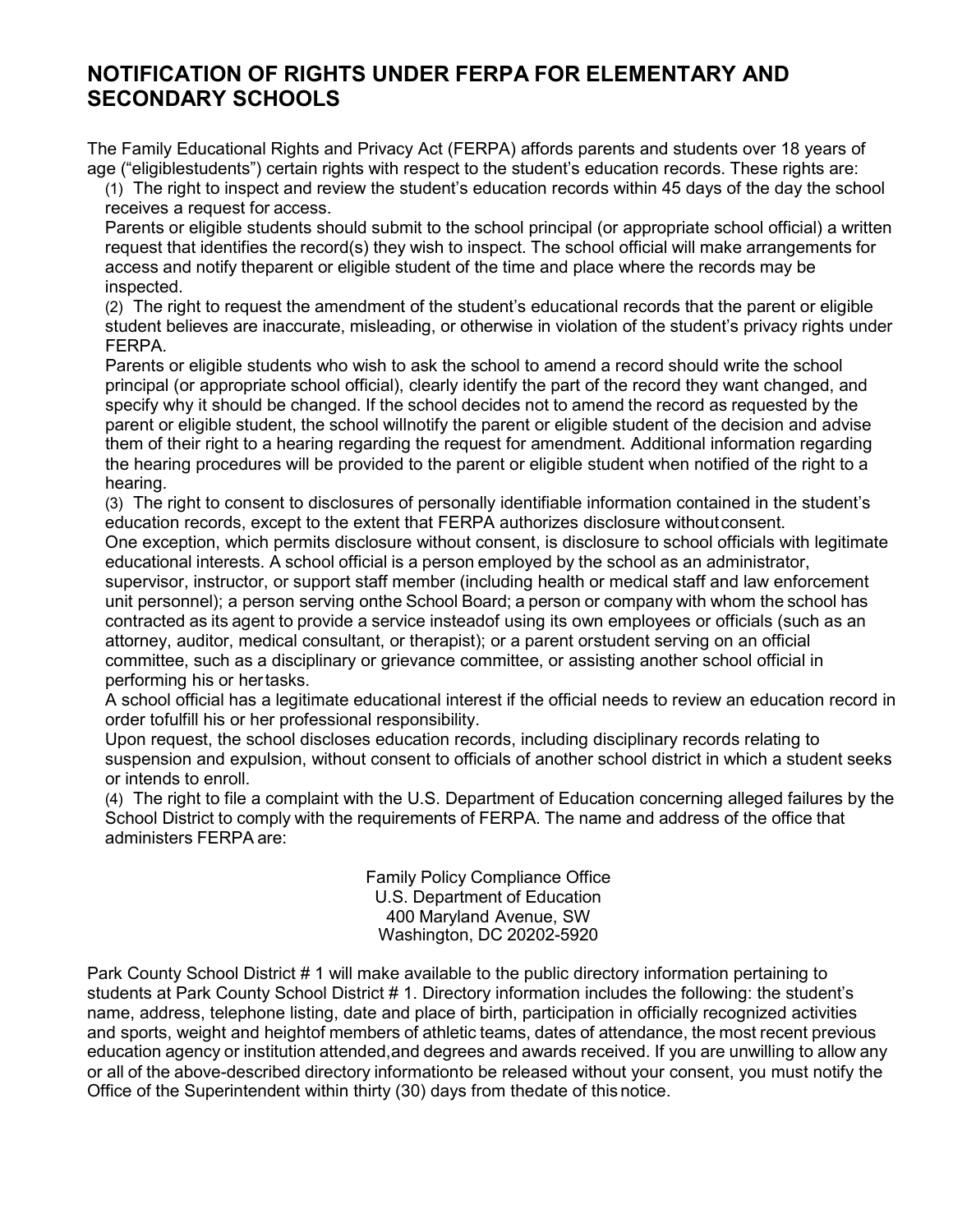## **NOTIFICATION OF RIGHTS UNDER FERPA FOR ELEMENTARY AND SECONDARY SCHOOLS**

The Family Educational Rights and Privacy Act (FERPA) affords parents and students over 18 years of age ("eligiblestudents") certain rights with respect to the student's education records. These rights are:

(1) The right to inspect and review the student's education records within 45 days of the day the school receives a request for access.

Parents or eligible students should submit to the school principal (or appropriate school official) a written request that identifies the record(s) they wish to inspect. The school official will make arrangements for access and notify theparent or eligible student of the time and place where the records may be inspected.

(2) The right to request the amendment of the student's educational records that the parent or eligible student believes are inaccurate, misleading, or otherwise in violation of the student's privacy rights under FERPA.

Parents or eligible students who wish to ask the school to amend a record should write the school principal (or appropriate school official), clearly identify the part of the record they want changed, and specify why it should be changed. If the school decides not to amend the record as requested by the parent or eligible student, the school willnotify the parent or eligible student of the decision and advise them of their right to a hearing regarding the request for amendment. Additional information regarding the hearing procedures will be provided to the parent or eligible student when notified of the right to a hearing.

(3) The right to consent to disclosures of personally identifiable information contained in the student's education records, except to the extent that FERPA authorizes disclosure withoutconsent.

One exception, which permits disclosure without consent, is disclosure to school officials with legitimate educational interests. A school official is a person employed by the school as an administrator, supervisor, instructor, or support staff member (including health or medical staff and law enforcement unit personnel); a person serving onthe School Board; a person or company with whom the school has contracted as its agent to provide a service insteadof using its own employees or officials (such as an attorney, auditor, medical consultant, or therapist); or a parent orstudent serving on an official committee, such as a disciplinary or grievance committee, or assisting another school official in performing his or hertasks.

A school official has a legitimate educational interest if the official needs to review an education record in order tofulfill his or her professional responsibility.

Upon request, the school discloses education records, including disciplinary records relating to suspension and expulsion, without consent to officials of another school district in which a student seeks or intends to enroll.

(4) The right to file a complaint with the U.S. Department of Education concerning alleged failures by the School District to comply with the requirements of FERPA. The name and address of the office that administers FERPA are:

> Family Policy Compliance Office U.S. Department of Education 400 Maryland Avenue, SW Washington, DC 20202-5920

Park County School District # 1 will make available to the public directory information pertaining to students at Park County School District # 1. Directory information includes the following: the student's name, address, telephone listing, date and place of birth, participation in officially recognized activities and sports, weight and heightof members of athletic teams, dates of attendance, the most recent previous education agency or institution attended,and degrees and awards received. If you are unwilling to allow any or all of the above-described directory informationto be released without your consent, you must notify the Office of the Superintendent within thirty (30) days from thedate of this notice.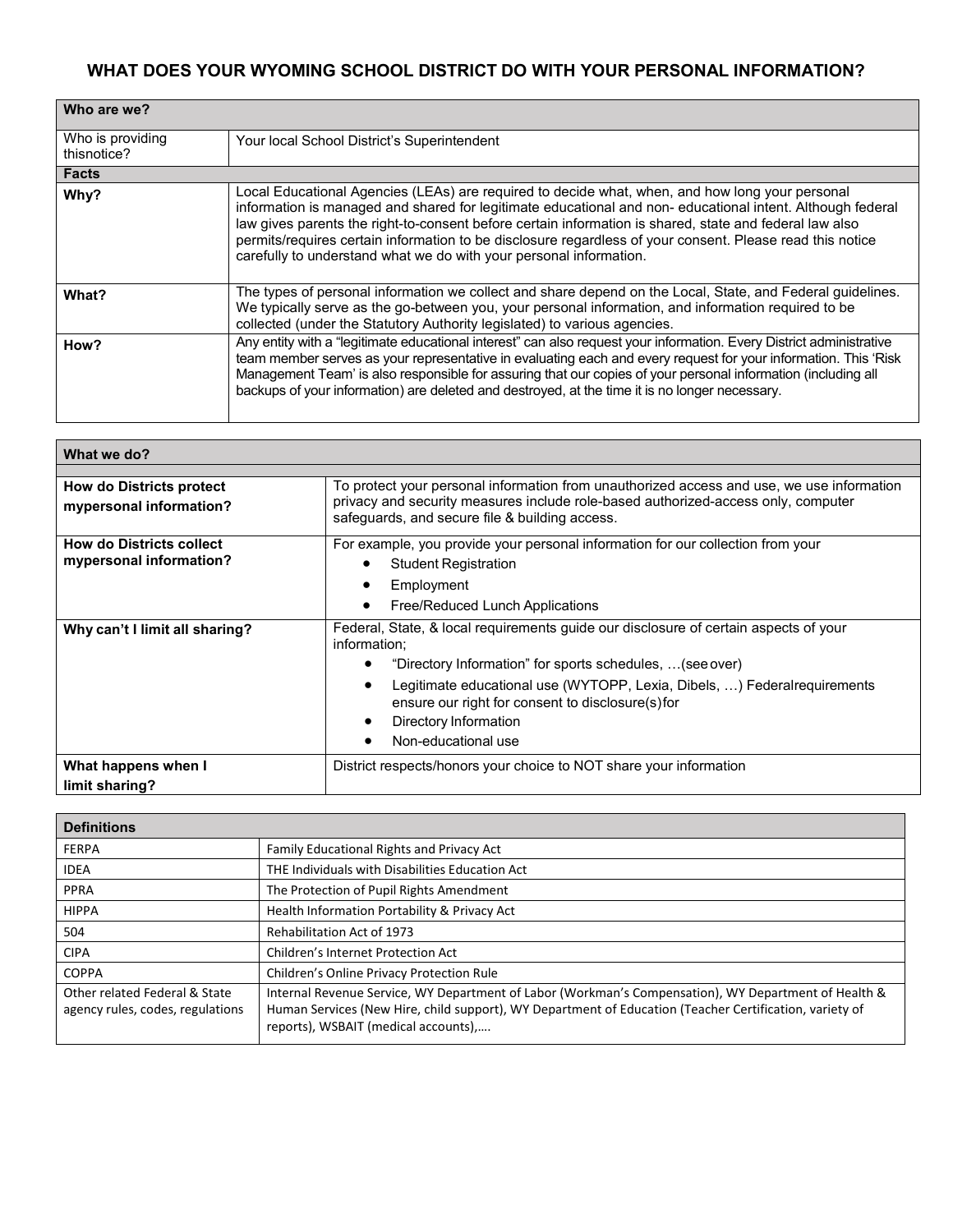## **WHAT DOES YOUR WYOMING SCHOOL DISTRICT DO WITH YOUR PERSONAL INFORMATION?**

| Who are we?                     |                                                                                                                                                                                                                                                                                                                                                                                                                                                                                                            |
|---------------------------------|------------------------------------------------------------------------------------------------------------------------------------------------------------------------------------------------------------------------------------------------------------------------------------------------------------------------------------------------------------------------------------------------------------------------------------------------------------------------------------------------------------|
| Who is providing<br>thisnotice? | Your local School District's Superintendent                                                                                                                                                                                                                                                                                                                                                                                                                                                                |
| <b>Facts</b>                    |                                                                                                                                                                                                                                                                                                                                                                                                                                                                                                            |
| Why?                            | Local Educational Agencies (LEAs) are required to decide what, when, and how long your personal<br>information is managed and shared for legitimate educational and non-educational intent. Although federal<br>law gives parents the right-to-consent before certain information is shared, state and federal law also<br>permits/requires certain information to be disclosure regardless of your consent. Please read this notice<br>carefully to understand what we do with your personal information. |
| What?                           | The types of personal information we collect and share depend on the Local, State, and Federal guidelines.<br>We typically serve as the go-between you, your personal information, and information required to be<br>collected (under the Statutory Authority legislated) to various agencies.                                                                                                                                                                                                             |
| How?                            | Any entity with a "legitimate educational interest" can also request your information. Every District administrative<br>team member serves as your representative in evaluating each and every request for your information. This 'Risk<br>Management Team' is also responsible for assuring that our copies of your personal information (including all<br>backups of your information) are deleted and destroyed, at the time it is no longer necessary.                                                 |

| What we do?                     |                                                                                                                                     |
|---------------------------------|-------------------------------------------------------------------------------------------------------------------------------------|
|                                 |                                                                                                                                     |
| <b>How do Districts protect</b> | To protect your personal information from unauthorized access and use, we use information                                           |
| mypersonal information?         | privacy and security measures include role-based authorized-access only, computer<br>safeguards, and secure file & building access. |
| <b>How do Districts collect</b> | For example, you provide your personal information for our collection from your                                                     |
| mypersonal information?         | <b>Student Registration</b>                                                                                                         |
|                                 | Employment                                                                                                                          |
|                                 | Free/Reduced Lunch Applications                                                                                                     |
| Why can't I limit all sharing?  | Federal, State, & local requirements guide our disclosure of certain aspects of your<br>information;                                |
|                                 | "Directory Information" for sports schedules,  (see over)                                                                           |
|                                 | Legitimate educational use (WYTOPP, Lexia, Dibels, ) Federalrequirements<br>ensure our right for consent to disclosure(s) for       |
|                                 | Directory Information                                                                                                               |
|                                 | Non-educational use                                                                                                                 |
| What happens when I             | District respects/honors your choice to NOT share your information                                                                  |
| limit sharing?                  |                                                                                                                                     |

| <b>Definitions</b>                                                |                                                                                                                                                                                                                                                         |
|-------------------------------------------------------------------|---------------------------------------------------------------------------------------------------------------------------------------------------------------------------------------------------------------------------------------------------------|
| <b>FERPA</b>                                                      | Family Educational Rights and Privacy Act                                                                                                                                                                                                               |
| <b>IDEA</b>                                                       | THE Individuals with Disabilities Education Act                                                                                                                                                                                                         |
| <b>PPRA</b>                                                       | The Protection of Pupil Rights Amendment                                                                                                                                                                                                                |
| <b>HIPPA</b>                                                      | Health Information Portability & Privacy Act                                                                                                                                                                                                            |
| 504                                                               | <b>Rehabilitation Act of 1973</b>                                                                                                                                                                                                                       |
| <b>CIPA</b>                                                       | Children's Internet Protection Act                                                                                                                                                                                                                      |
| <b>COPPA</b>                                                      | Children's Online Privacy Protection Rule                                                                                                                                                                                                               |
| Other related Federal & State<br>agency rules, codes, regulations | Internal Revenue Service, WY Department of Labor (Workman's Compensation), WY Department of Health &<br>Human Services (New Hire, child support), WY Department of Education (Teacher Certification, variety of<br>reports), WSBAIT (medical accounts), |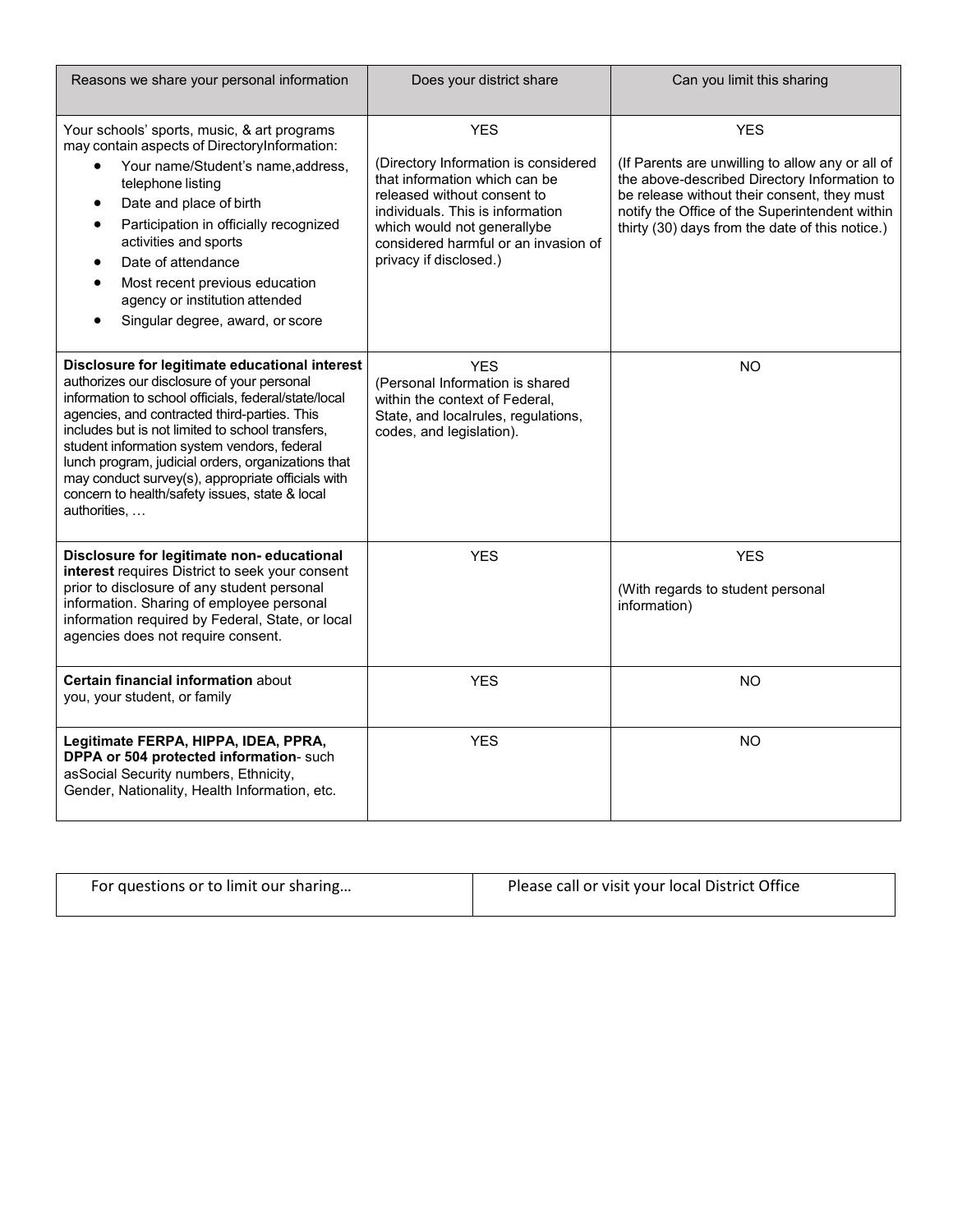| Reasons we share your personal information                                                                                                                                                                                                                                                                                                                                                                                                                                           | Does your district share                                                                                                                                                                                                                                | Can you limit this sharing                                                                                                                                                                                                                                         |
|--------------------------------------------------------------------------------------------------------------------------------------------------------------------------------------------------------------------------------------------------------------------------------------------------------------------------------------------------------------------------------------------------------------------------------------------------------------------------------------|---------------------------------------------------------------------------------------------------------------------------------------------------------------------------------------------------------------------------------------------------------|--------------------------------------------------------------------------------------------------------------------------------------------------------------------------------------------------------------------------------------------------------------------|
| Your schools' sports, music, & art programs<br>may contain aspects of DirectoryInformation:<br>Your name/Student's name, address,<br>$\bullet$<br>telephone listing<br>Date and place of birth<br>$\bullet$<br>Participation in officially recognized<br>$\bullet$<br>activities and sports<br>Date of attendance<br>$\bullet$<br>Most recent previous education<br>agency or institution attended<br>Singular degree, award, or score                                               | <b>YES</b><br>(Directory Information is considered<br>that information which can be<br>released without consent to<br>individuals. This is information<br>which would not generallybe<br>considered harmful or an invasion of<br>privacy if disclosed.) | <b>YES</b><br>(If Parents are unwilling to allow any or all of<br>the above-described Directory Information to<br>be release without their consent, they must<br>notify the Office of the Superintendent within<br>thirty (30) days from the date of this notice.) |
| Disclosure for legitimate educational interest<br>authorizes our disclosure of your personal<br>information to school officials, federal/state/local<br>agencies, and contracted third-parties. This<br>includes but is not limited to school transfers,<br>student information system vendors, federal<br>lunch program, judicial orders, organizations that<br>may conduct survey(s), appropriate officials with<br>concern to health/safety issues, state & local<br>authorities, | <b>YES</b><br>(Personal Information is shared<br>within the context of Federal,<br>State, and localrules, regulations,<br>codes, and legislation).                                                                                                      | <b>NO</b>                                                                                                                                                                                                                                                          |
| Disclosure for legitimate non-educational<br>interest requires District to seek your consent<br>prior to disclosure of any student personal<br>information. Sharing of employee personal<br>information required by Federal, State, or local<br>agencies does not require consent.                                                                                                                                                                                                   | <b>YES</b>                                                                                                                                                                                                                                              | <b>YES</b><br>(With regards to student personal<br>information)                                                                                                                                                                                                    |
| Certain financial information about<br>you, your student, or family                                                                                                                                                                                                                                                                                                                                                                                                                  | <b>YES</b>                                                                                                                                                                                                                                              | <b>NO</b>                                                                                                                                                                                                                                                          |
| Legitimate FERPA, HIPPA, IDEA, PPRA,<br>DPPA or 504 protected information- such<br>asSocial Security numbers, Ethnicity,<br>Gender, Nationality, Health Information, etc.                                                                                                                                                                                                                                                                                                            | <b>YES</b>                                                                                                                                                                                                                                              | <b>NO</b>                                                                                                                                                                                                                                                          |

| For questions or to limit our sharing | Please call or visit your local District Office |
|---------------------------------------|-------------------------------------------------|
|                                       |                                                 |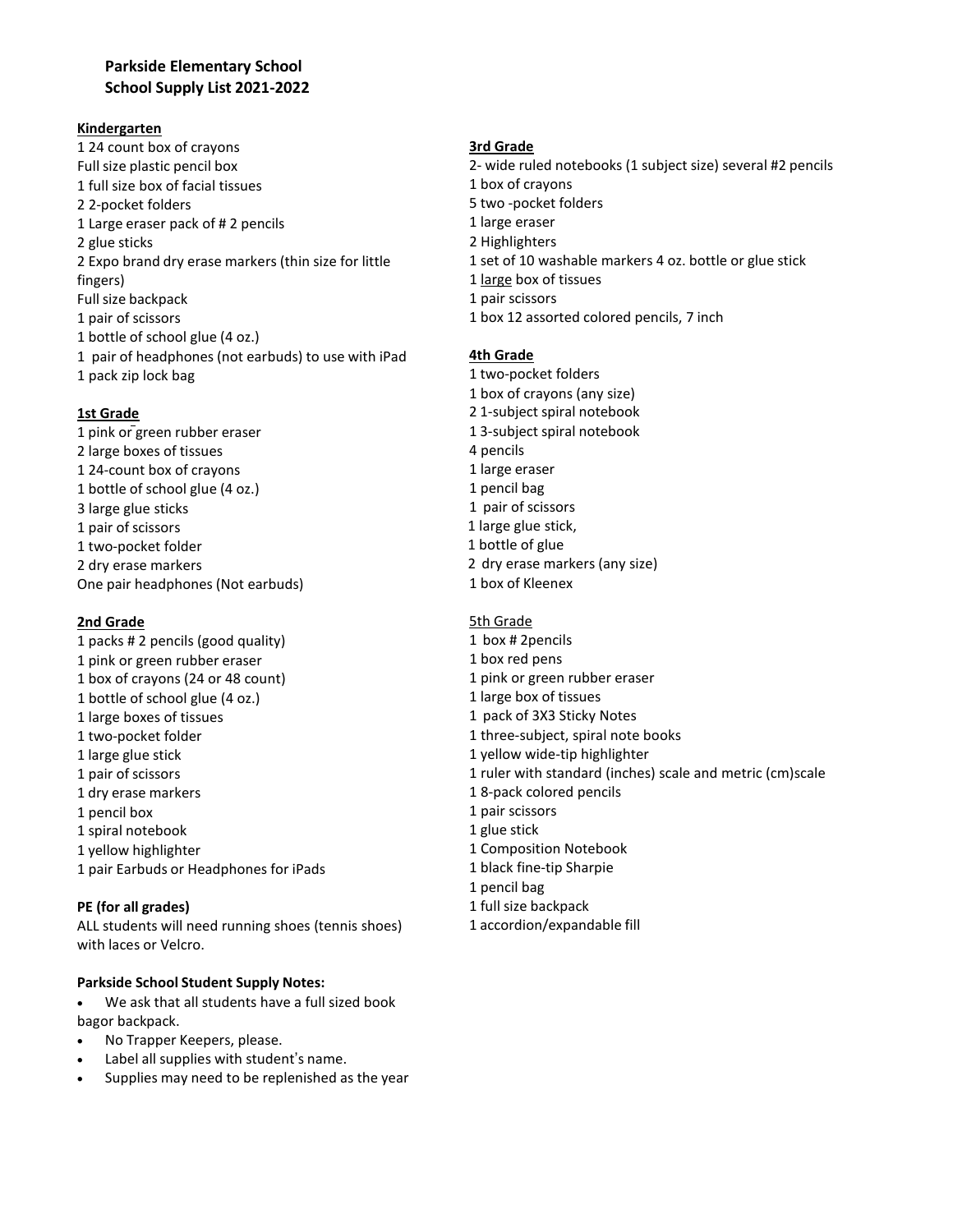### **Parkside Elementary School School Supply List 2021-2022**

#### **Kindergarten**

1 24 count box of crayons Full size plastic pencil box 1 full size box of facial tissues 2 2-pocket folders 1 Large eraser pack of # 2 pencils 2 glue sticks 2 Expo brand dry erase markers (thin size for little fingers) Full size backpack 1 pair of scissors 1 bottle of school glue (4 oz.) 1 pair of headphones (not earbuds) to use with iPad 1 pack zip lock bag

### **1st Grade**

 pink or green rubber eraser large boxes of tissues 24-count box of crayons bottle of school glue (4 oz.) large glue sticks pair of scissors 1 two-pocket folder 2 dry erase markers One pair headphones (Not earbuds)

### **2nd Grade**

1 packs # 2 pencils (good quality) pink or green rubber eraser 1 box of crayons (24 or 48 count) bottle of school glue (4 oz.) 1 large boxes of tissues two-pocket folder large glue stick pair of scissors dry erase markers pencil box spiral notebook yellow highlighter pair Earbuds or Headphones for iPads

### **PE (for all grades)**

ALL students will need running shoes (tennis shoes) with laces or Velcro.

### **Parkside School Student Supply Notes:**

• We ask that all students have a full sized book bagor backpack.

- No Trapper Keepers, please.
- Label all supplies with student's name.
- Supplies may need to be replenished as the year

#### **3rd Grade**

2- wide ruled notebooks (1 subject size) several #2 pencils box of crayons two -pocket folders large eraser Highlighters set of 10 washable markers 4 oz. bottle or glue stick large box of tissues 1 pair scissors box 12 assorted colored pencils, 7 inch

#### **4th Grade**

- 1 two-pocket folders 1 box of crayons (any size) 2 1-subject spiral notebook 1 3-subject spiral notebook 4 pencils 1 large eraser 1 pencil bag 1 pair of scissors 1 large glue stick, 1 bottle of glue 2 dry erase markers (any size)
- 1 box of Kleenex

#### 5th Grade

- 1 box # 2pencils 1 box red pens 1 pink or green rubber eraser 1 large box of tissues 1 pack of 3X3 Sticky Notes 1 three-subject, spiral note books 1 yellow wide-tip highlighter 1 ruler with standard (inches) scale and metric (cm)scale 1 8-pack colored pencils 1 pair scissors 1 glue stick 1 Composition Notebook 1 black fine-tip Sharpie 1 pencil bag
- 1 full size backpack
- 1 accordion/expandable fill